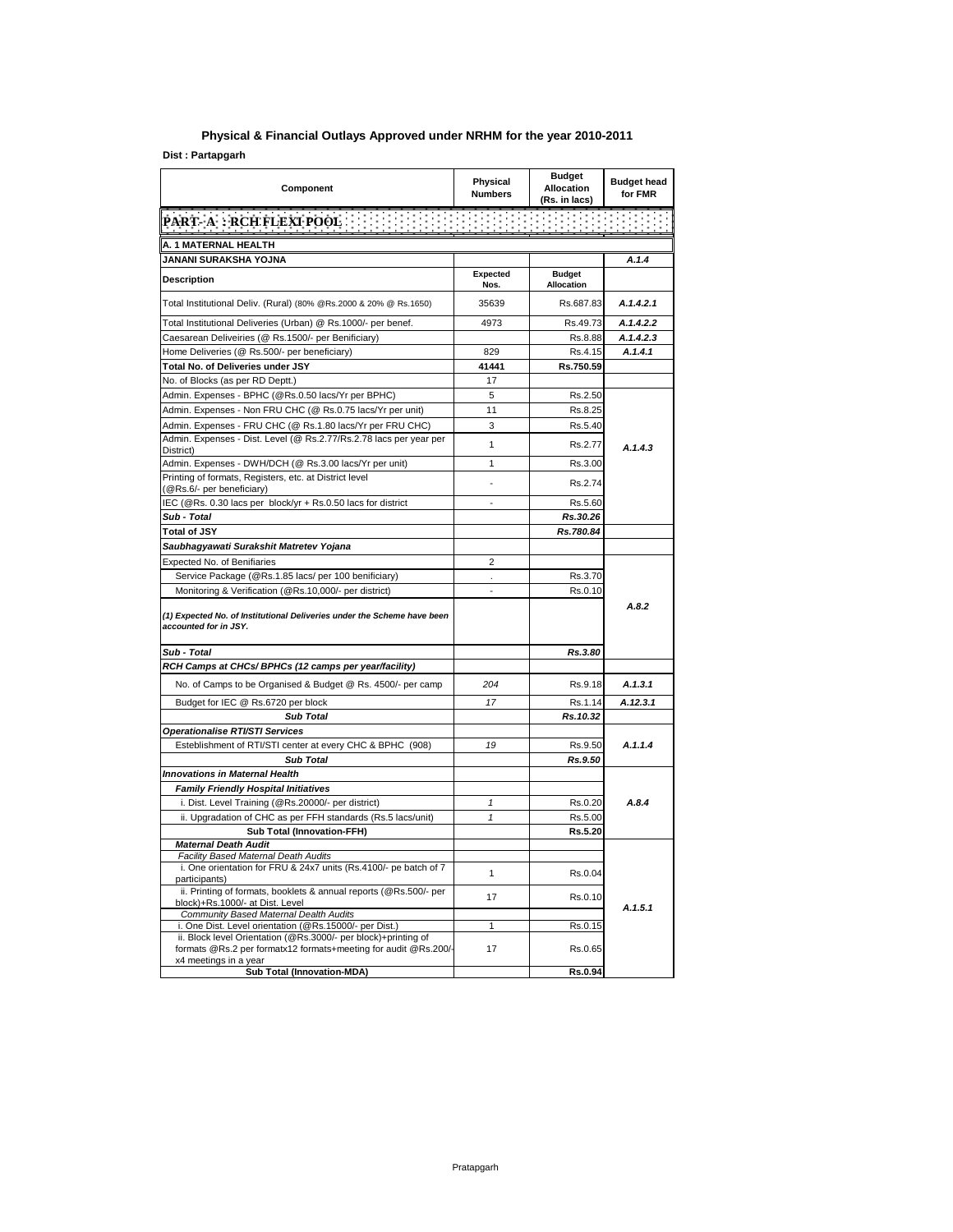## **Physical & Financial Outlays Approved under NRHM for the year 2010-2011**

 $Dist: Partapgarh$ 

| Component                                                                                                                                                                                   | Physical<br><b>Numbers</b> | <b>Budget</b><br><b>Allocation</b><br>(Rs. in lacs) | <b>Budget head</b><br>for FMR |
|---------------------------------------------------------------------------------------------------------------------------------------------------------------------------------------------|----------------------------|-----------------------------------------------------|-------------------------------|
| <b>PART- A : RCH FLEXI POOL</b>                                                                                                                                                             |                            |                                                     |                               |
| A. 1 MATERNAL HEALTH                                                                                                                                                                        |                            |                                                     |                               |
| JANANI SURAKSHA YOJNA                                                                                                                                                                       |                            |                                                     | A.1.4                         |
| Description                                                                                                                                                                                 | <b>Expected</b><br>Nos.    | <b>Budget</b><br><b>Allocation</b>                  |                               |
| Total Institutional Deliv. (Rural) (80% @Rs.2000 & 20% @ Rs.1650)                                                                                                                           | 35639                      | Rs.687.83                                           | A.1.4.2.1                     |
| Total Institutional Deliveries (Urban) @ Rs.1000/- per benef.                                                                                                                               | 4973                       | Rs.49.73                                            | A.1.4.2.2                     |
| Caesarean Deliveiries (@ Rs.1500/- per Benificiary)                                                                                                                                         |                            | Rs.8.88                                             | A.1.4.2.3                     |
| Home Deliveries (@ Rs.500/- per beneficiary)                                                                                                                                                | 829                        | Rs.4.15                                             | A.1.4.1                       |
| Total No. of Deliveries under JSY                                                                                                                                                           | 41441                      | Rs.750.59                                           |                               |
| No. of Blocks (as per RD Deptt.)                                                                                                                                                            | 17                         |                                                     |                               |
| Admin. Expenses - BPHC (@Rs.0.50 lacs/Yr per BPHC)                                                                                                                                          | 5                          | Rs.2.50                                             |                               |
| Admin. Expenses - Non FRU CHC (@ Rs.0.75 lacs/Yr per unit)                                                                                                                                  | 11                         | Rs.8.25                                             |                               |
| Admin. Expenses - FRU CHC (@ Rs.1.80 lacs/Yr per FRU CHC)                                                                                                                                   | 3                          | Rs.5.40                                             |                               |
| Admin. Expenses - Dist. Level (@ Rs.2.77/Rs.2.78 lacs per year per<br>District)                                                                                                             | $\mathbf{1}$               | Rs.2.77                                             | A.1.4.3                       |
| Admin. Expenses - DWH/DCH (@ Rs.3.00 lacs/Yr per unit)                                                                                                                                      | 1                          | Rs.3.00                                             |                               |
| Printing of formats, Registers, etc. at District level<br>(@Rs.6/- per beneficiary)                                                                                                         |                            | Rs.2.74                                             |                               |
| IEC (@Rs. 0.30 lacs per block/yr + Rs.0.50 lacs for district                                                                                                                                |                            | Rs.5.60                                             |                               |
| Sub - Total                                                                                                                                                                                 |                            | Rs.30.26                                            |                               |
| <b>Total of JSY</b>                                                                                                                                                                         |                            | Rs.780.84                                           |                               |
| Saubhagyawati Surakshit Matretev Yojana                                                                                                                                                     |                            |                                                     |                               |
| Expected No. of Benifiaries                                                                                                                                                                 | $\overline{2}$             |                                                     |                               |
| Service Package (@Rs.1.85 lacs/ per 100 benificiary)                                                                                                                                        |                            | Rs.3.70                                             |                               |
| Monitoring & Verification (@Rs.10,000/- per district)                                                                                                                                       | $\overline{a}$             | Rs.0.10                                             |                               |
| (1) Expected No. of Institutional Deliveries under the Scheme have been<br>accounted for in JSY.                                                                                            |                            |                                                     | A.8.2                         |
| Sub - Total                                                                                                                                                                                 |                            | Rs.3.80                                             |                               |
| RCH Camps at CHCs/ BPHCs (12 camps per year/facility)                                                                                                                                       |                            |                                                     |                               |
| No. of Camps to be Organised & Budget @ Rs. 4500/- per camp                                                                                                                                 | 204                        | Rs.9.18                                             | A.1.3.1                       |
| Budget for IEC @ Rs.6720 per block                                                                                                                                                          | 17                         | Rs.1.14                                             | A.12.3.1                      |
| <b>Sub Total</b>                                                                                                                                                                            |                            | Rs.10.32                                            |                               |
| Operationalise RTI/STI Services                                                                                                                                                             |                            |                                                     |                               |
| Esteblishment of RTI/STI center at every CHC & BPHC (908)                                                                                                                                   | 19                         | Rs.9.50                                             | A.1.1.4                       |
| <b>Sub Total</b>                                                                                                                                                                            |                            | Rs.9.50                                             |                               |
| Innovations in Maternal Health                                                                                                                                                              |                            |                                                     |                               |
| <b>Family Friendly Hospital Initiatives</b>                                                                                                                                                 |                            |                                                     |                               |
| i. Dist. Level Training (@Rs.20000/- per district)                                                                                                                                          | $\pmb{\mathcal{I}}$        | Rs.0.20                                             | A.8.4                         |
| ii. Upgradation of CHC as per FFH standards (Rs.5 lacs/unit)                                                                                                                                | 1                          | Rs.5.00                                             |                               |
| <b>Sub Total (Innovation-FFH)</b>                                                                                                                                                           |                            | Rs.5.20                                             |                               |
| <b>Maternal Death Audit</b><br>Facility Based Maternal Death Audits                                                                                                                         |                            |                                                     |                               |
| i. One orientation for FRU & 24x7 units (Rs.4100/- pe batch of 7<br>participants)                                                                                                           | 1                          | Rs.0.04                                             |                               |
| ii. Printing of formats, booklets & annual reports (@Rs.500/- per<br>block)+Rs.1000/- at Dist. Level                                                                                        | 17                         | Rs.0.10                                             | A.1.5.1                       |
| Community Based Maternal Dealth Audits                                                                                                                                                      |                            |                                                     |                               |
| i. One Dist. Level orientation (@Rs.15000/- per Dist.)<br>ii. Block level Orientation (@Rs.3000/- per block)+printing of<br>formats @Rs.2 per formatx12 formats+meeting for audit @Rs.200/- | $\mathbf{1}$<br>17         | Rs.0.15<br>Rs.0.65                                  |                               |
| x4 meetings in a year<br>Sub Total (Innovation-MDA)                                                                                                                                         |                            | Rs.0.94                                             |                               |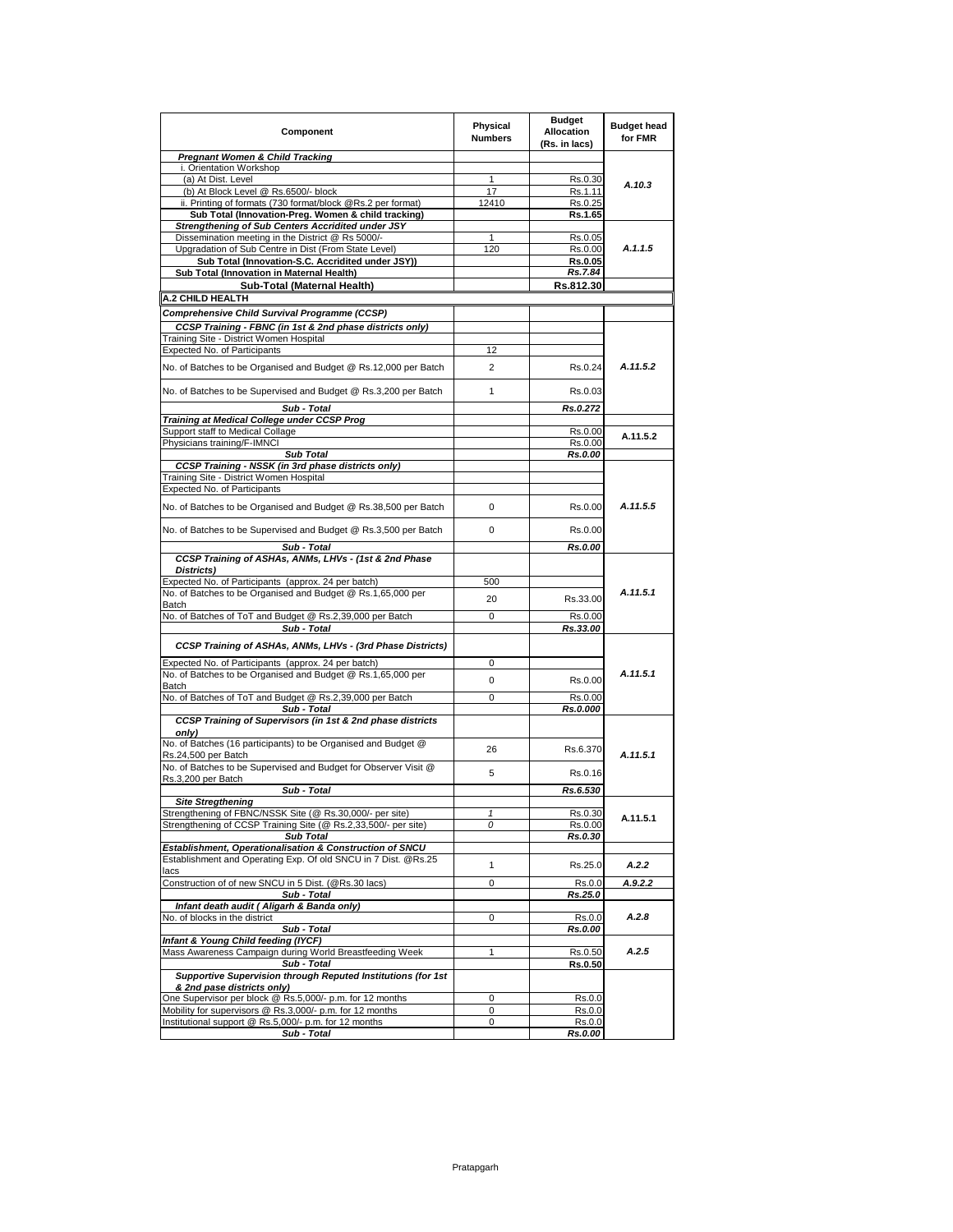| Component                                                                                                            | Physical<br><b>Numbers</b> | <b>Budget</b><br><b>Allocation</b><br>(Rs. in lacs) | <b>Budget head</b><br>for FMR |
|----------------------------------------------------------------------------------------------------------------------|----------------------------|-----------------------------------------------------|-------------------------------|
| <b>Pregnant Women &amp; Child Tracking</b>                                                                           |                            |                                                     |                               |
| i. Orientation Workshop                                                                                              |                            |                                                     |                               |
| (a) At Dist. Level<br>(b) At Block Level @ Rs.6500/- block                                                           | $\mathbf{1}$<br>17         | Rs.0.30<br>Rs.1.11                                  | A.10.3                        |
| ii. Printing of formats (730 format/block @Rs.2 per format)                                                          | 12410                      | Rs.0.25                                             |                               |
| Sub Total (Innovation-Preg. Women & child tracking)                                                                  |                            | Rs.1.65                                             |                               |
| Strengthening of Sub Centers Accridited under JSY                                                                    |                            |                                                     |                               |
| Dissemination meeting in the District @ Rs 5000/-                                                                    | $\mathbf{1}$               | Rs.0.05                                             |                               |
| Upgradation of Sub Centre in Dist (From State Level)                                                                 | 120                        | Rs.0.00                                             | A.1.1.5                       |
| Sub Total (Innovation-S.C. Accridited under JSY)<br>Sub Total (Innovation in Maternal Health)                        |                            | Rs.0.05                                             |                               |
| Sub-Total (Maternal Health)                                                                                          |                            | Rs.7.84<br>Rs.812.30                                |                               |
| A.2 CHILD HEALTH                                                                                                     |                            |                                                     |                               |
| Comprehensive Child Survival Programme (CCSP)                                                                        |                            |                                                     |                               |
| CCSP Training - FBNC (in 1st & 2nd phase districts only)                                                             |                            |                                                     |                               |
| Training Site - District Women Hospital                                                                              |                            |                                                     |                               |
| Expected No. of Participants                                                                                         | 12                         |                                                     |                               |
|                                                                                                                      |                            |                                                     |                               |
| No. of Batches to be Organised and Budget @ Rs.12,000 per Batch                                                      | 2                          | Rs.0.24                                             | A.11.5.2                      |
| No. of Batches to be Supervised and Budget @ Rs.3,200 per Batch                                                      | 1                          | Rs.0.03                                             |                               |
| Sub - Total                                                                                                          |                            | Rs.0.272                                            |                               |
| Training at Medical College under CCSP Prog                                                                          |                            |                                                     |                               |
| Support staff to Medical Collage                                                                                     |                            | Rs.0.00                                             | A.11.5.2                      |
| Physicians training/F-IMNCI                                                                                          |                            | Rs.0.00                                             |                               |
| <b>Sub Total</b><br>CCSP Training - NSSK (in 3rd phase districts only)                                               |                            | Rs.0.00                                             |                               |
| Training Site - District Women Hospital                                                                              |                            |                                                     |                               |
| Expected No. of Participants                                                                                         |                            |                                                     |                               |
| No. of Batches to be Organised and Budget @ Rs.38,500 per Batch                                                      | 0                          | Rs.0.00                                             | A.11.5.5                      |
| No. of Batches to be Supervised and Budget @ Rs.3,500 per Batch                                                      | 0                          | Rs.0.00                                             |                               |
| Sub - Total                                                                                                          |                            | Rs.0.00                                             |                               |
| CCSP Training of ASHAs, ANMs, LHVs - (1st & 2nd Phase                                                                |                            |                                                     |                               |
| Districts)                                                                                                           |                            |                                                     |                               |
| Expected No. of Participants (approx. 24 per batch)                                                                  | 500                        |                                                     |                               |
| No. of Batches to be Organised and Budget @ Rs.1,65,000 per                                                          | 20                         | Rs.33.00                                            | A.11.5.1                      |
| Batch                                                                                                                |                            |                                                     |                               |
| No. of Batches of ToT and Budget @ Rs.2,39,000 per Batch<br>Sub - Total                                              | 0                          | Rs.0.00<br>Rs.33.00                                 |                               |
| CCSP Training of ASHAs, ANMs, LHVs - (3rd Phase Districts)                                                           |                            |                                                     |                               |
|                                                                                                                      |                            |                                                     |                               |
| Expected No. of Participants (approx. 24 per batch)                                                                  | 0                          |                                                     |                               |
| No. of Batches to be Organised and Budget @ Rs.1,65,000 per<br>Batch                                                 | 0                          | Rs.0.00                                             | A.11.5.1                      |
| No. of Batches of ToT and Budget @ Rs.2,39,000 per Batch                                                             | 0                          | Rs.0.00                                             |                               |
| Sub - Total                                                                                                          |                            | Rs.0.000                                            |                               |
| CCSP Training of Supervisors (in 1st & 2nd phase districts                                                           |                            |                                                     |                               |
| onlv)                                                                                                                |                            |                                                     |                               |
| No. of Batches (16 participants) to be Organised and Budget @<br>Rs.24,500 per Batch                                 | 26                         | Rs.6.370                                            | A.11.5.1                      |
| No. of Batches to be Supervised and Budget for Observer Visit @                                                      |                            |                                                     |                               |
| Rs.3,200 per Batch                                                                                                   | 5                          | Rs.0.16                                             |                               |
| Sub - Total                                                                                                          |                            | Rs.6.530                                            |                               |
| <b>Site Stregthening</b>                                                                                             |                            |                                                     |                               |
| Strengthening of FBNC/NSSK Site (@ Rs.30,000/- per site)                                                             | 1                          | Rs.0.30                                             | A.11.5.1                      |
| Strengthening of CCSP Training Site (@ Rs.2,33,500/- per site)                                                       | 0                          | Rs.0.00                                             |                               |
| <b>Sub Total</b><br>Establishment, Operationalisation & Construction of SNCU                                         |                            | Rs.0.30                                             |                               |
| Establishment and Operating Exp. Of old SNCU in 7 Dist. @Rs.25                                                       |                            |                                                     |                               |
| lacs                                                                                                                 | $\mathbf{1}$               | Rs.25.0                                             | A.2.2                         |
| Construction of of new SNCU in 5 Dist. (@Rs.30 lacs)                                                                 | 0                          | Rs.0.0                                              | A.9.2.2                       |
| Sub - Total                                                                                                          |                            | Rs.25.0                                             |                               |
| Infant death audit (Aligarh & Banda only)<br>No. of blocks in the district                                           | 0                          |                                                     | A.2.8                         |
| Sub - Total                                                                                                          |                            | Rs.0.0<br>Rs.0.00                                   |                               |
| Infant & Young Child feeding (IYCF)                                                                                  |                            |                                                     |                               |
| Mass Awareness Campaign during World Breastfeeding Week                                                              | 1                          | Rs.0.50                                             | A.2.5                         |
| Sub - Total                                                                                                          |                            | <b>Rs.0.50</b>                                      |                               |
| Supportive Supervision through Reputed Institutions (for 1st                                                         |                            |                                                     |                               |
| & 2nd pase districts only)                                                                                           | $\mathbf 0$                |                                                     |                               |
| One Supervisor per block @ Rs.5,000/- p.m. for 12 months<br>Mobility for supervisors @ Rs.3,000/- p.m. for 12 months | 0                          | Rs.0.0<br>Rs.0.0                                    |                               |
| Institutional support @ Rs.5,000/- p.m. for 12 months                                                                | 0                          | Rs.0.0                                              |                               |
| Sub - Total                                                                                                          |                            | <u>Rs.0.00</u>                                      |                               |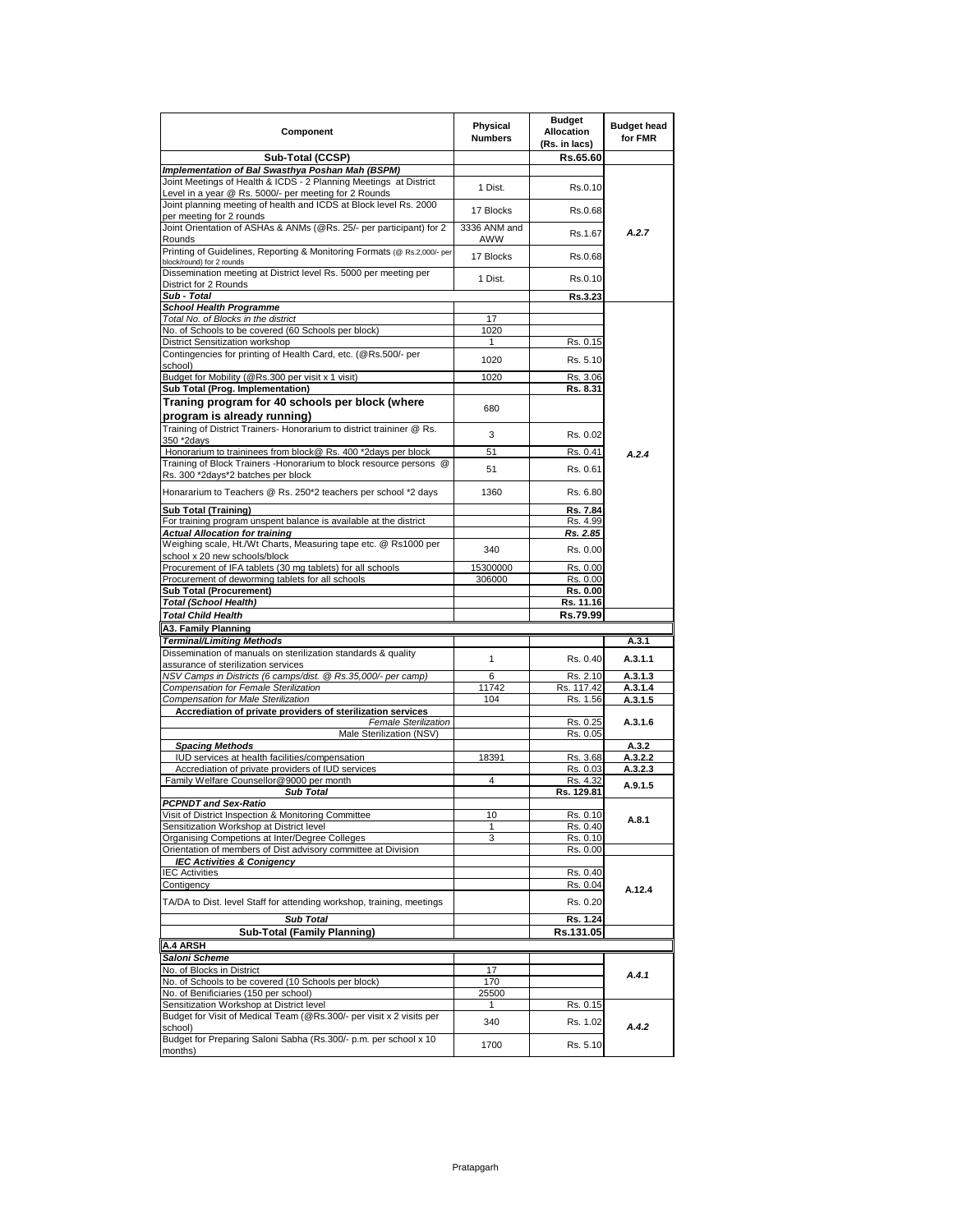| Sub-Total (CCSP)<br>Implementation of Bal Swasthya Poshan Mah (BSPM)<br>Joint Meetings of Health & ICDS - 2 Planning Meetings at District<br>Level in a year @ Rs. 5000/- per meeting for 2 Rounds<br>Joint planning meeting of health and ICDS at Block level Rs. 2000<br>per meeting for 2 rounds<br>Joint Orientation of ASHAs & ANMs (@Rs. 25/- per participant) for 2<br>Rounds<br>Printing of Guidelines, Reporting & Monitoring Formats (@ Rs.2,000/- per<br>block/round) for 2 rounds<br>Dissemination meeting at District level Rs. 5000 per meeting per<br>District for 2 Rounds<br>Sub - Total<br><b>School Health Programme</b><br>Total No. of Blocks in the district<br>No. of Schools to be covered (60 Schools per block)<br>District Sensitization workshop<br>Contingencies for printing of Health Card, etc. (@Rs.500/- per<br>school)<br>Budget for Mobility (@Rs.300 per visit x 1 visit)<br>Sub Total (Prog. Implementation)<br>Traning program for 40 schools per block (where<br>program is already running)<br>Training of District Trainers- Honorarium to district traininer @ Rs.<br>350 *2davs<br>Honorarium to traininees from block@ Rs. 400 *2days per block<br>Training of Block Trainers - Honorarium to block resource persons @<br>Rs. 300 *2days*2 batches per block<br>Honararium to Teachers @ Rs. 250*2 teachers per school *2 days<br>Sub Total (Training)<br>For training program unspent balance is available at the district<br><b>Actual Allocation for training</b><br>Weighing scale, Ht./Wt Charts, Measuring tape etc. @ Rs1000 per<br>school x 20 new schools/block<br>Procurement of IFA tablets (30 mg tablets) for all schools<br>Procurement of deworming tablets for all schools<br>Sub Total (Procurement)<br><b>Total (School Health)</b><br><b>Total Child Health</b><br><b>A3. Family Planning</b><br><b>Terminal/Limiting Methods</b><br>Dissemination of manuals on sterilization standards & quality<br>assurance of sterilization services<br>NSV Camps in Districts (6 camps/dist. @ Rs.35,000/- per camp)<br>Compensation for Female Sterilization<br>Compensation for Male Sterilization<br>Accrediation of private providers of sterilization services<br>Female Sterilization<br>Male Sterilization (NSV)<br><b>Spacing Methods</b><br>IUD services at health facilities/compensation<br>Accrediation of private providers of IUD services<br>Family Welfare Counsellor@9000 per month<br><b>Sub Total</b><br><b>PCPNDT and Sex-Ratio</b><br>Visit of District Inspection & Monitoring Committee<br>Sensitization Workshop at District level<br>Organising Competions at Inter/Degree Colleges<br>Orientation of members of Dist advisory committee at Division<br><b>IEC Activities &amp; Conigency</b><br><b>IEC Activities</b><br>Contigency<br>TA/DA to Dist. level Staff for attending workshop, training, meetings<br><b>Sub Total</b><br><b>Sub-Total (Family Planning)</b><br><b>A.4 ARSH</b><br>Saloni Scheme | 1 Dist.<br>17 Blocks<br>3336 ANM and<br>AWW<br>17 Blocks<br>1 Dist.<br>17<br>1020<br>1<br>1020<br>1020<br>680 | Rs.65.60<br>Rs.0.10<br>Rs.0.68<br>Rs.1.67<br>Rs.0.68<br>Rs.0.10<br>Rs.3.23<br>Rs. 0.15<br>Rs. 5.10<br>Rs. 3.06<br>Rs. 8.31 | A.2.7              |
|--------------------------------------------------------------------------------------------------------------------------------------------------------------------------------------------------------------------------------------------------------------------------------------------------------------------------------------------------------------------------------------------------------------------------------------------------------------------------------------------------------------------------------------------------------------------------------------------------------------------------------------------------------------------------------------------------------------------------------------------------------------------------------------------------------------------------------------------------------------------------------------------------------------------------------------------------------------------------------------------------------------------------------------------------------------------------------------------------------------------------------------------------------------------------------------------------------------------------------------------------------------------------------------------------------------------------------------------------------------------------------------------------------------------------------------------------------------------------------------------------------------------------------------------------------------------------------------------------------------------------------------------------------------------------------------------------------------------------------------------------------------------------------------------------------------------------------------------------------------------------------------------------------------------------------------------------------------------------------------------------------------------------------------------------------------------------------------------------------------------------------------------------------------------------------------------------------------------------------------------------------------------------------------------------------------------------------------------------------------------------------------------------------------------------------------------------------------------------------------------------------------------------------------------------------------------------------------------------------------------------------------------------------------------------------------------------------------------------------------------------------------------------------------------------------------------------------------------------------------------------------------------------------------------------------------------------------------------------------------------|---------------------------------------------------------------------------------------------------------------|----------------------------------------------------------------------------------------------------------------------------|--------------------|
|                                                                                                                                                                                                                                                                                                                                                                                                                                                                                                                                                                                                                                                                                                                                                                                                                                                                                                                                                                                                                                                                                                                                                                                                                                                                                                                                                                                                                                                                                                                                                                                                                                                                                                                                                                                                                                                                                                                                                                                                                                                                                                                                                                                                                                                                                                                                                                                                                                                                                                                                                                                                                                                                                                                                                                                                                                                                                                                                                                                            |                                                                                                               |                                                                                                                            |                    |
|                                                                                                                                                                                                                                                                                                                                                                                                                                                                                                                                                                                                                                                                                                                                                                                                                                                                                                                                                                                                                                                                                                                                                                                                                                                                                                                                                                                                                                                                                                                                                                                                                                                                                                                                                                                                                                                                                                                                                                                                                                                                                                                                                                                                                                                                                                                                                                                                                                                                                                                                                                                                                                                                                                                                                                                                                                                                                                                                                                                            |                                                                                                               |                                                                                                                            |                    |
|                                                                                                                                                                                                                                                                                                                                                                                                                                                                                                                                                                                                                                                                                                                                                                                                                                                                                                                                                                                                                                                                                                                                                                                                                                                                                                                                                                                                                                                                                                                                                                                                                                                                                                                                                                                                                                                                                                                                                                                                                                                                                                                                                                                                                                                                                                                                                                                                                                                                                                                                                                                                                                                                                                                                                                                                                                                                                                                                                                                            |                                                                                                               |                                                                                                                            |                    |
|                                                                                                                                                                                                                                                                                                                                                                                                                                                                                                                                                                                                                                                                                                                                                                                                                                                                                                                                                                                                                                                                                                                                                                                                                                                                                                                                                                                                                                                                                                                                                                                                                                                                                                                                                                                                                                                                                                                                                                                                                                                                                                                                                                                                                                                                                                                                                                                                                                                                                                                                                                                                                                                                                                                                                                                                                                                                                                                                                                                            |                                                                                                               |                                                                                                                            |                    |
|                                                                                                                                                                                                                                                                                                                                                                                                                                                                                                                                                                                                                                                                                                                                                                                                                                                                                                                                                                                                                                                                                                                                                                                                                                                                                                                                                                                                                                                                                                                                                                                                                                                                                                                                                                                                                                                                                                                                                                                                                                                                                                                                                                                                                                                                                                                                                                                                                                                                                                                                                                                                                                                                                                                                                                                                                                                                                                                                                                                            |                                                                                                               |                                                                                                                            |                    |
|                                                                                                                                                                                                                                                                                                                                                                                                                                                                                                                                                                                                                                                                                                                                                                                                                                                                                                                                                                                                                                                                                                                                                                                                                                                                                                                                                                                                                                                                                                                                                                                                                                                                                                                                                                                                                                                                                                                                                                                                                                                                                                                                                                                                                                                                                                                                                                                                                                                                                                                                                                                                                                                                                                                                                                                                                                                                                                                                                                                            |                                                                                                               |                                                                                                                            |                    |
|                                                                                                                                                                                                                                                                                                                                                                                                                                                                                                                                                                                                                                                                                                                                                                                                                                                                                                                                                                                                                                                                                                                                                                                                                                                                                                                                                                                                                                                                                                                                                                                                                                                                                                                                                                                                                                                                                                                                                                                                                                                                                                                                                                                                                                                                                                                                                                                                                                                                                                                                                                                                                                                                                                                                                                                                                                                                                                                                                                                            |                                                                                                               |                                                                                                                            |                    |
|                                                                                                                                                                                                                                                                                                                                                                                                                                                                                                                                                                                                                                                                                                                                                                                                                                                                                                                                                                                                                                                                                                                                                                                                                                                                                                                                                                                                                                                                                                                                                                                                                                                                                                                                                                                                                                                                                                                                                                                                                                                                                                                                                                                                                                                                                                                                                                                                                                                                                                                                                                                                                                                                                                                                                                                                                                                                                                                                                                                            |                                                                                                               |                                                                                                                            |                    |
|                                                                                                                                                                                                                                                                                                                                                                                                                                                                                                                                                                                                                                                                                                                                                                                                                                                                                                                                                                                                                                                                                                                                                                                                                                                                                                                                                                                                                                                                                                                                                                                                                                                                                                                                                                                                                                                                                                                                                                                                                                                                                                                                                                                                                                                                                                                                                                                                                                                                                                                                                                                                                                                                                                                                                                                                                                                                                                                                                                                            |                                                                                                               |                                                                                                                            |                    |
|                                                                                                                                                                                                                                                                                                                                                                                                                                                                                                                                                                                                                                                                                                                                                                                                                                                                                                                                                                                                                                                                                                                                                                                                                                                                                                                                                                                                                                                                                                                                                                                                                                                                                                                                                                                                                                                                                                                                                                                                                                                                                                                                                                                                                                                                                                                                                                                                                                                                                                                                                                                                                                                                                                                                                                                                                                                                                                                                                                                            |                                                                                                               |                                                                                                                            |                    |
|                                                                                                                                                                                                                                                                                                                                                                                                                                                                                                                                                                                                                                                                                                                                                                                                                                                                                                                                                                                                                                                                                                                                                                                                                                                                                                                                                                                                                                                                                                                                                                                                                                                                                                                                                                                                                                                                                                                                                                                                                                                                                                                                                                                                                                                                                                                                                                                                                                                                                                                                                                                                                                                                                                                                                                                                                                                                                                                                                                                            |                                                                                                               |                                                                                                                            |                    |
|                                                                                                                                                                                                                                                                                                                                                                                                                                                                                                                                                                                                                                                                                                                                                                                                                                                                                                                                                                                                                                                                                                                                                                                                                                                                                                                                                                                                                                                                                                                                                                                                                                                                                                                                                                                                                                                                                                                                                                                                                                                                                                                                                                                                                                                                                                                                                                                                                                                                                                                                                                                                                                                                                                                                                                                                                                                                                                                                                                                            |                                                                                                               |                                                                                                                            |                    |
|                                                                                                                                                                                                                                                                                                                                                                                                                                                                                                                                                                                                                                                                                                                                                                                                                                                                                                                                                                                                                                                                                                                                                                                                                                                                                                                                                                                                                                                                                                                                                                                                                                                                                                                                                                                                                                                                                                                                                                                                                                                                                                                                                                                                                                                                                                                                                                                                                                                                                                                                                                                                                                                                                                                                                                                                                                                                                                                                                                                            |                                                                                                               |                                                                                                                            |                    |
|                                                                                                                                                                                                                                                                                                                                                                                                                                                                                                                                                                                                                                                                                                                                                                                                                                                                                                                                                                                                                                                                                                                                                                                                                                                                                                                                                                                                                                                                                                                                                                                                                                                                                                                                                                                                                                                                                                                                                                                                                                                                                                                                                                                                                                                                                                                                                                                                                                                                                                                                                                                                                                                                                                                                                                                                                                                                                                                                                                                            |                                                                                                               |                                                                                                                            |                    |
|                                                                                                                                                                                                                                                                                                                                                                                                                                                                                                                                                                                                                                                                                                                                                                                                                                                                                                                                                                                                                                                                                                                                                                                                                                                                                                                                                                                                                                                                                                                                                                                                                                                                                                                                                                                                                                                                                                                                                                                                                                                                                                                                                                                                                                                                                                                                                                                                                                                                                                                                                                                                                                                                                                                                                                                                                                                                                                                                                                                            |                                                                                                               |                                                                                                                            |                    |
|                                                                                                                                                                                                                                                                                                                                                                                                                                                                                                                                                                                                                                                                                                                                                                                                                                                                                                                                                                                                                                                                                                                                                                                                                                                                                                                                                                                                                                                                                                                                                                                                                                                                                                                                                                                                                                                                                                                                                                                                                                                                                                                                                                                                                                                                                                                                                                                                                                                                                                                                                                                                                                                                                                                                                                                                                                                                                                                                                                                            |                                                                                                               |                                                                                                                            |                    |
|                                                                                                                                                                                                                                                                                                                                                                                                                                                                                                                                                                                                                                                                                                                                                                                                                                                                                                                                                                                                                                                                                                                                                                                                                                                                                                                                                                                                                                                                                                                                                                                                                                                                                                                                                                                                                                                                                                                                                                                                                                                                                                                                                                                                                                                                                                                                                                                                                                                                                                                                                                                                                                                                                                                                                                                                                                                                                                                                                                                            | 3                                                                                                             | Rs. 0.02                                                                                                                   |                    |
|                                                                                                                                                                                                                                                                                                                                                                                                                                                                                                                                                                                                                                                                                                                                                                                                                                                                                                                                                                                                                                                                                                                                                                                                                                                                                                                                                                                                                                                                                                                                                                                                                                                                                                                                                                                                                                                                                                                                                                                                                                                                                                                                                                                                                                                                                                                                                                                                                                                                                                                                                                                                                                                                                                                                                                                                                                                                                                                                                                                            | 51                                                                                                            | Rs. 0.41                                                                                                                   | A.2.4              |
|                                                                                                                                                                                                                                                                                                                                                                                                                                                                                                                                                                                                                                                                                                                                                                                                                                                                                                                                                                                                                                                                                                                                                                                                                                                                                                                                                                                                                                                                                                                                                                                                                                                                                                                                                                                                                                                                                                                                                                                                                                                                                                                                                                                                                                                                                                                                                                                                                                                                                                                                                                                                                                                                                                                                                                                                                                                                                                                                                                                            |                                                                                                               |                                                                                                                            |                    |
|                                                                                                                                                                                                                                                                                                                                                                                                                                                                                                                                                                                                                                                                                                                                                                                                                                                                                                                                                                                                                                                                                                                                                                                                                                                                                                                                                                                                                                                                                                                                                                                                                                                                                                                                                                                                                                                                                                                                                                                                                                                                                                                                                                                                                                                                                                                                                                                                                                                                                                                                                                                                                                                                                                                                                                                                                                                                                                                                                                                            | 51                                                                                                            | Rs. 0.61                                                                                                                   |                    |
|                                                                                                                                                                                                                                                                                                                                                                                                                                                                                                                                                                                                                                                                                                                                                                                                                                                                                                                                                                                                                                                                                                                                                                                                                                                                                                                                                                                                                                                                                                                                                                                                                                                                                                                                                                                                                                                                                                                                                                                                                                                                                                                                                                                                                                                                                                                                                                                                                                                                                                                                                                                                                                                                                                                                                                                                                                                                                                                                                                                            | 1360                                                                                                          | Rs. 6.80                                                                                                                   |                    |
|                                                                                                                                                                                                                                                                                                                                                                                                                                                                                                                                                                                                                                                                                                                                                                                                                                                                                                                                                                                                                                                                                                                                                                                                                                                                                                                                                                                                                                                                                                                                                                                                                                                                                                                                                                                                                                                                                                                                                                                                                                                                                                                                                                                                                                                                                                                                                                                                                                                                                                                                                                                                                                                                                                                                                                                                                                                                                                                                                                                            |                                                                                                               | Rs. 7.84                                                                                                                   |                    |
|                                                                                                                                                                                                                                                                                                                                                                                                                                                                                                                                                                                                                                                                                                                                                                                                                                                                                                                                                                                                                                                                                                                                                                                                                                                                                                                                                                                                                                                                                                                                                                                                                                                                                                                                                                                                                                                                                                                                                                                                                                                                                                                                                                                                                                                                                                                                                                                                                                                                                                                                                                                                                                                                                                                                                                                                                                                                                                                                                                                            |                                                                                                               | Rs. 4.99                                                                                                                   |                    |
|                                                                                                                                                                                                                                                                                                                                                                                                                                                                                                                                                                                                                                                                                                                                                                                                                                                                                                                                                                                                                                                                                                                                                                                                                                                                                                                                                                                                                                                                                                                                                                                                                                                                                                                                                                                                                                                                                                                                                                                                                                                                                                                                                                                                                                                                                                                                                                                                                                                                                                                                                                                                                                                                                                                                                                                                                                                                                                                                                                                            | 340                                                                                                           | Rs. 2.85<br>Rs. 0.00                                                                                                       |                    |
|                                                                                                                                                                                                                                                                                                                                                                                                                                                                                                                                                                                                                                                                                                                                                                                                                                                                                                                                                                                                                                                                                                                                                                                                                                                                                                                                                                                                                                                                                                                                                                                                                                                                                                                                                                                                                                                                                                                                                                                                                                                                                                                                                                                                                                                                                                                                                                                                                                                                                                                                                                                                                                                                                                                                                                                                                                                                                                                                                                                            |                                                                                                               |                                                                                                                            |                    |
|                                                                                                                                                                                                                                                                                                                                                                                                                                                                                                                                                                                                                                                                                                                                                                                                                                                                                                                                                                                                                                                                                                                                                                                                                                                                                                                                                                                                                                                                                                                                                                                                                                                                                                                                                                                                                                                                                                                                                                                                                                                                                                                                                                                                                                                                                                                                                                                                                                                                                                                                                                                                                                                                                                                                                                                                                                                                                                                                                                                            | 15300000                                                                                                      | Rs. 0.00                                                                                                                   |                    |
|                                                                                                                                                                                                                                                                                                                                                                                                                                                                                                                                                                                                                                                                                                                                                                                                                                                                                                                                                                                                                                                                                                                                                                                                                                                                                                                                                                                                                                                                                                                                                                                                                                                                                                                                                                                                                                                                                                                                                                                                                                                                                                                                                                                                                                                                                                                                                                                                                                                                                                                                                                                                                                                                                                                                                                                                                                                                                                                                                                                            | 306000                                                                                                        | Rs. 0.00                                                                                                                   |                    |
|                                                                                                                                                                                                                                                                                                                                                                                                                                                                                                                                                                                                                                                                                                                                                                                                                                                                                                                                                                                                                                                                                                                                                                                                                                                                                                                                                                                                                                                                                                                                                                                                                                                                                                                                                                                                                                                                                                                                                                                                                                                                                                                                                                                                                                                                                                                                                                                                                                                                                                                                                                                                                                                                                                                                                                                                                                                                                                                                                                                            |                                                                                                               | Rs. 0.00                                                                                                                   |                    |
|                                                                                                                                                                                                                                                                                                                                                                                                                                                                                                                                                                                                                                                                                                                                                                                                                                                                                                                                                                                                                                                                                                                                                                                                                                                                                                                                                                                                                                                                                                                                                                                                                                                                                                                                                                                                                                                                                                                                                                                                                                                                                                                                                                                                                                                                                                                                                                                                                                                                                                                                                                                                                                                                                                                                                                                                                                                                                                                                                                                            |                                                                                                               | Rs. 11.16                                                                                                                  |                    |
|                                                                                                                                                                                                                                                                                                                                                                                                                                                                                                                                                                                                                                                                                                                                                                                                                                                                                                                                                                                                                                                                                                                                                                                                                                                                                                                                                                                                                                                                                                                                                                                                                                                                                                                                                                                                                                                                                                                                                                                                                                                                                                                                                                                                                                                                                                                                                                                                                                                                                                                                                                                                                                                                                                                                                                                                                                                                                                                                                                                            |                                                                                                               | Rs.79.99                                                                                                                   |                    |
|                                                                                                                                                                                                                                                                                                                                                                                                                                                                                                                                                                                                                                                                                                                                                                                                                                                                                                                                                                                                                                                                                                                                                                                                                                                                                                                                                                                                                                                                                                                                                                                                                                                                                                                                                                                                                                                                                                                                                                                                                                                                                                                                                                                                                                                                                                                                                                                                                                                                                                                                                                                                                                                                                                                                                                                                                                                                                                                                                                                            |                                                                                                               |                                                                                                                            | A.3.1              |
|                                                                                                                                                                                                                                                                                                                                                                                                                                                                                                                                                                                                                                                                                                                                                                                                                                                                                                                                                                                                                                                                                                                                                                                                                                                                                                                                                                                                                                                                                                                                                                                                                                                                                                                                                                                                                                                                                                                                                                                                                                                                                                                                                                                                                                                                                                                                                                                                                                                                                                                                                                                                                                                                                                                                                                                                                                                                                                                                                                                            | $\mathbf{1}$                                                                                                  | Rs. 0.40                                                                                                                   | A.3.1.1            |
|                                                                                                                                                                                                                                                                                                                                                                                                                                                                                                                                                                                                                                                                                                                                                                                                                                                                                                                                                                                                                                                                                                                                                                                                                                                                                                                                                                                                                                                                                                                                                                                                                                                                                                                                                                                                                                                                                                                                                                                                                                                                                                                                                                                                                                                                                                                                                                                                                                                                                                                                                                                                                                                                                                                                                                                                                                                                                                                                                                                            | 6                                                                                                             | Rs. 2.10                                                                                                                   | A.3.1.3            |
|                                                                                                                                                                                                                                                                                                                                                                                                                                                                                                                                                                                                                                                                                                                                                                                                                                                                                                                                                                                                                                                                                                                                                                                                                                                                                                                                                                                                                                                                                                                                                                                                                                                                                                                                                                                                                                                                                                                                                                                                                                                                                                                                                                                                                                                                                                                                                                                                                                                                                                                                                                                                                                                                                                                                                                                                                                                                                                                                                                                            | 11742                                                                                                         | Rs. 117.42                                                                                                                 | A.3.1.4            |
|                                                                                                                                                                                                                                                                                                                                                                                                                                                                                                                                                                                                                                                                                                                                                                                                                                                                                                                                                                                                                                                                                                                                                                                                                                                                                                                                                                                                                                                                                                                                                                                                                                                                                                                                                                                                                                                                                                                                                                                                                                                                                                                                                                                                                                                                                                                                                                                                                                                                                                                                                                                                                                                                                                                                                                                                                                                                                                                                                                                            | 104                                                                                                           | Rs. 1.56                                                                                                                   | A.3.1.5            |
|                                                                                                                                                                                                                                                                                                                                                                                                                                                                                                                                                                                                                                                                                                                                                                                                                                                                                                                                                                                                                                                                                                                                                                                                                                                                                                                                                                                                                                                                                                                                                                                                                                                                                                                                                                                                                                                                                                                                                                                                                                                                                                                                                                                                                                                                                                                                                                                                                                                                                                                                                                                                                                                                                                                                                                                                                                                                                                                                                                                            |                                                                                                               |                                                                                                                            |                    |
|                                                                                                                                                                                                                                                                                                                                                                                                                                                                                                                                                                                                                                                                                                                                                                                                                                                                                                                                                                                                                                                                                                                                                                                                                                                                                                                                                                                                                                                                                                                                                                                                                                                                                                                                                                                                                                                                                                                                                                                                                                                                                                                                                                                                                                                                                                                                                                                                                                                                                                                                                                                                                                                                                                                                                                                                                                                                                                                                                                                            |                                                                                                               | Rs. 0.25                                                                                                                   | A.3.1.6            |
|                                                                                                                                                                                                                                                                                                                                                                                                                                                                                                                                                                                                                                                                                                                                                                                                                                                                                                                                                                                                                                                                                                                                                                                                                                                                                                                                                                                                                                                                                                                                                                                                                                                                                                                                                                                                                                                                                                                                                                                                                                                                                                                                                                                                                                                                                                                                                                                                                                                                                                                                                                                                                                                                                                                                                                                                                                                                                                                                                                                            |                                                                                                               | Rs. 0.05                                                                                                                   |                    |
|                                                                                                                                                                                                                                                                                                                                                                                                                                                                                                                                                                                                                                                                                                                                                                                                                                                                                                                                                                                                                                                                                                                                                                                                                                                                                                                                                                                                                                                                                                                                                                                                                                                                                                                                                                                                                                                                                                                                                                                                                                                                                                                                                                                                                                                                                                                                                                                                                                                                                                                                                                                                                                                                                                                                                                                                                                                                                                                                                                                            |                                                                                                               |                                                                                                                            | A.3.2              |
|                                                                                                                                                                                                                                                                                                                                                                                                                                                                                                                                                                                                                                                                                                                                                                                                                                                                                                                                                                                                                                                                                                                                                                                                                                                                                                                                                                                                                                                                                                                                                                                                                                                                                                                                                                                                                                                                                                                                                                                                                                                                                                                                                                                                                                                                                                                                                                                                                                                                                                                                                                                                                                                                                                                                                                                                                                                                                                                                                                                            | 18391                                                                                                         | Rs. 3.68<br>Rs. 0.03                                                                                                       | A.3.2.2<br>A.3.2.3 |
|                                                                                                                                                                                                                                                                                                                                                                                                                                                                                                                                                                                                                                                                                                                                                                                                                                                                                                                                                                                                                                                                                                                                                                                                                                                                                                                                                                                                                                                                                                                                                                                                                                                                                                                                                                                                                                                                                                                                                                                                                                                                                                                                                                                                                                                                                                                                                                                                                                                                                                                                                                                                                                                                                                                                                                                                                                                                                                                                                                                            | 4                                                                                                             | Rs. 4.32                                                                                                                   |                    |
|                                                                                                                                                                                                                                                                                                                                                                                                                                                                                                                                                                                                                                                                                                                                                                                                                                                                                                                                                                                                                                                                                                                                                                                                                                                                                                                                                                                                                                                                                                                                                                                                                                                                                                                                                                                                                                                                                                                                                                                                                                                                                                                                                                                                                                                                                                                                                                                                                                                                                                                                                                                                                                                                                                                                                                                                                                                                                                                                                                                            |                                                                                                               | Rs. 129.81                                                                                                                 | A.9.1.5            |
|                                                                                                                                                                                                                                                                                                                                                                                                                                                                                                                                                                                                                                                                                                                                                                                                                                                                                                                                                                                                                                                                                                                                                                                                                                                                                                                                                                                                                                                                                                                                                                                                                                                                                                                                                                                                                                                                                                                                                                                                                                                                                                                                                                                                                                                                                                                                                                                                                                                                                                                                                                                                                                                                                                                                                                                                                                                                                                                                                                                            |                                                                                                               |                                                                                                                            |                    |
|                                                                                                                                                                                                                                                                                                                                                                                                                                                                                                                                                                                                                                                                                                                                                                                                                                                                                                                                                                                                                                                                                                                                                                                                                                                                                                                                                                                                                                                                                                                                                                                                                                                                                                                                                                                                                                                                                                                                                                                                                                                                                                                                                                                                                                                                                                                                                                                                                                                                                                                                                                                                                                                                                                                                                                                                                                                                                                                                                                                            |                                                                                                               | Rs. 0.10                                                                                                                   |                    |
|                                                                                                                                                                                                                                                                                                                                                                                                                                                                                                                                                                                                                                                                                                                                                                                                                                                                                                                                                                                                                                                                                                                                                                                                                                                                                                                                                                                                                                                                                                                                                                                                                                                                                                                                                                                                                                                                                                                                                                                                                                                                                                                                                                                                                                                                                                                                                                                                                                                                                                                                                                                                                                                                                                                                                                                                                                                                                                                                                                                            | 10                                                                                                            | Rs. 0.40                                                                                                                   | A.8.1              |
|                                                                                                                                                                                                                                                                                                                                                                                                                                                                                                                                                                                                                                                                                                                                                                                                                                                                                                                                                                                                                                                                                                                                                                                                                                                                                                                                                                                                                                                                                                                                                                                                                                                                                                                                                                                                                                                                                                                                                                                                                                                                                                                                                                                                                                                                                                                                                                                                                                                                                                                                                                                                                                                                                                                                                                                                                                                                                                                                                                                            | 1                                                                                                             | Rs. 0.10                                                                                                                   |                    |
|                                                                                                                                                                                                                                                                                                                                                                                                                                                                                                                                                                                                                                                                                                                                                                                                                                                                                                                                                                                                                                                                                                                                                                                                                                                                                                                                                                                                                                                                                                                                                                                                                                                                                                                                                                                                                                                                                                                                                                                                                                                                                                                                                                                                                                                                                                                                                                                                                                                                                                                                                                                                                                                                                                                                                                                                                                                                                                                                                                                            | 3                                                                                                             | Rs. 0.00                                                                                                                   |                    |
|                                                                                                                                                                                                                                                                                                                                                                                                                                                                                                                                                                                                                                                                                                                                                                                                                                                                                                                                                                                                                                                                                                                                                                                                                                                                                                                                                                                                                                                                                                                                                                                                                                                                                                                                                                                                                                                                                                                                                                                                                                                                                                                                                                                                                                                                                                                                                                                                                                                                                                                                                                                                                                                                                                                                                                                                                                                                                                                                                                                            |                                                                                                               |                                                                                                                            |                    |
|                                                                                                                                                                                                                                                                                                                                                                                                                                                                                                                                                                                                                                                                                                                                                                                                                                                                                                                                                                                                                                                                                                                                                                                                                                                                                                                                                                                                                                                                                                                                                                                                                                                                                                                                                                                                                                                                                                                                                                                                                                                                                                                                                                                                                                                                                                                                                                                                                                                                                                                                                                                                                                                                                                                                                                                                                                                                                                                                                                                            |                                                                                                               | Rs. 0.40                                                                                                                   |                    |
|                                                                                                                                                                                                                                                                                                                                                                                                                                                                                                                                                                                                                                                                                                                                                                                                                                                                                                                                                                                                                                                                                                                                                                                                                                                                                                                                                                                                                                                                                                                                                                                                                                                                                                                                                                                                                                                                                                                                                                                                                                                                                                                                                                                                                                                                                                                                                                                                                                                                                                                                                                                                                                                                                                                                                                                                                                                                                                                                                                                            |                                                                                                               | Rs. 0.04                                                                                                                   | A.12.4             |
|                                                                                                                                                                                                                                                                                                                                                                                                                                                                                                                                                                                                                                                                                                                                                                                                                                                                                                                                                                                                                                                                                                                                                                                                                                                                                                                                                                                                                                                                                                                                                                                                                                                                                                                                                                                                                                                                                                                                                                                                                                                                                                                                                                                                                                                                                                                                                                                                                                                                                                                                                                                                                                                                                                                                                                                                                                                                                                                                                                                            |                                                                                                               | Rs. 0.20                                                                                                                   |                    |
|                                                                                                                                                                                                                                                                                                                                                                                                                                                                                                                                                                                                                                                                                                                                                                                                                                                                                                                                                                                                                                                                                                                                                                                                                                                                                                                                                                                                                                                                                                                                                                                                                                                                                                                                                                                                                                                                                                                                                                                                                                                                                                                                                                                                                                                                                                                                                                                                                                                                                                                                                                                                                                                                                                                                                                                                                                                                                                                                                                                            |                                                                                                               |                                                                                                                            |                    |
|                                                                                                                                                                                                                                                                                                                                                                                                                                                                                                                                                                                                                                                                                                                                                                                                                                                                                                                                                                                                                                                                                                                                                                                                                                                                                                                                                                                                                                                                                                                                                                                                                                                                                                                                                                                                                                                                                                                                                                                                                                                                                                                                                                                                                                                                                                                                                                                                                                                                                                                                                                                                                                                                                                                                                                                                                                                                                                                                                                                            |                                                                                                               | Rs. 1.24                                                                                                                   |                    |
|                                                                                                                                                                                                                                                                                                                                                                                                                                                                                                                                                                                                                                                                                                                                                                                                                                                                                                                                                                                                                                                                                                                                                                                                                                                                                                                                                                                                                                                                                                                                                                                                                                                                                                                                                                                                                                                                                                                                                                                                                                                                                                                                                                                                                                                                                                                                                                                                                                                                                                                                                                                                                                                                                                                                                                                                                                                                                                                                                                                            |                                                                                                               | <u>Rs.131.05</u>                                                                                                           |                    |
|                                                                                                                                                                                                                                                                                                                                                                                                                                                                                                                                                                                                                                                                                                                                                                                                                                                                                                                                                                                                                                                                                                                                                                                                                                                                                                                                                                                                                                                                                                                                                                                                                                                                                                                                                                                                                                                                                                                                                                                                                                                                                                                                                                                                                                                                                                                                                                                                                                                                                                                                                                                                                                                                                                                                                                                                                                                                                                                                                                                            |                                                                                                               |                                                                                                                            |                    |
| No. of Blocks in District                                                                                                                                                                                                                                                                                                                                                                                                                                                                                                                                                                                                                                                                                                                                                                                                                                                                                                                                                                                                                                                                                                                                                                                                                                                                                                                                                                                                                                                                                                                                                                                                                                                                                                                                                                                                                                                                                                                                                                                                                                                                                                                                                                                                                                                                                                                                                                                                                                                                                                                                                                                                                                                                                                                                                                                                                                                                                                                                                                  |                                                                                                               |                                                                                                                            |                    |
| No. of Schools to be covered (10 Schools per block)<br>No. of Benificiaries (150 per school)                                                                                                                                                                                                                                                                                                                                                                                                                                                                                                                                                                                                                                                                                                                                                                                                                                                                                                                                                                                                                                                                                                                                                                                                                                                                                                                                                                                                                                                                                                                                                                                                                                                                                                                                                                                                                                                                                                                                                                                                                                                                                                                                                                                                                                                                                                                                                                                                                                                                                                                                                                                                                                                                                                                                                                                                                                                                                               | 17                                                                                                            |                                                                                                                            | A.4.1              |
| Sensitization Workshop at District level                                                                                                                                                                                                                                                                                                                                                                                                                                                                                                                                                                                                                                                                                                                                                                                                                                                                                                                                                                                                                                                                                                                                                                                                                                                                                                                                                                                                                                                                                                                                                                                                                                                                                                                                                                                                                                                                                                                                                                                                                                                                                                                                                                                                                                                                                                                                                                                                                                                                                                                                                                                                                                                                                                                                                                                                                                                                                                                                                   | 170                                                                                                           |                                                                                                                            |                    |
| Budget for Visit of Medical Team (@Rs.300/- per visit x 2 visits per                                                                                                                                                                                                                                                                                                                                                                                                                                                                                                                                                                                                                                                                                                                                                                                                                                                                                                                                                                                                                                                                                                                                                                                                                                                                                                                                                                                                                                                                                                                                                                                                                                                                                                                                                                                                                                                                                                                                                                                                                                                                                                                                                                                                                                                                                                                                                                                                                                                                                                                                                                                                                                                                                                                                                                                                                                                                                                                       | 25500                                                                                                         |                                                                                                                            |                    |
| school)<br>Budget for Preparing Saloni Sabha (Rs.300/- p.m. per school x 10                                                                                                                                                                                                                                                                                                                                                                                                                                                                                                                                                                                                                                                                                                                                                                                                                                                                                                                                                                                                                                                                                                                                                                                                                                                                                                                                                                                                                                                                                                                                                                                                                                                                                                                                                                                                                                                                                                                                                                                                                                                                                                                                                                                                                                                                                                                                                                                                                                                                                                                                                                                                                                                                                                                                                                                                                                                                                                                | 1<br>340                                                                                                      | Rs. 0.15<br>Rs. 1.02                                                                                                       | A.4.2              |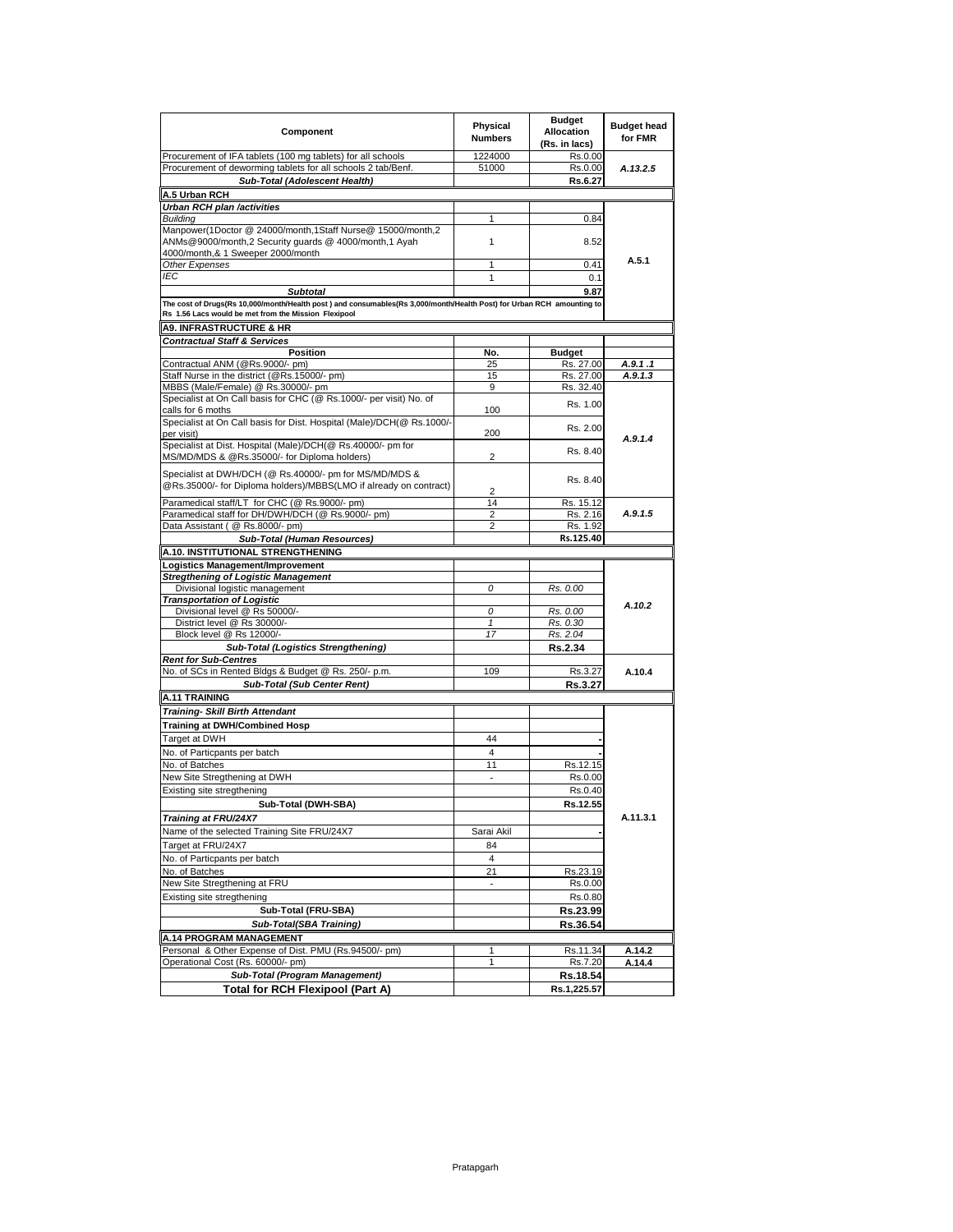| Component                                                                                                                                                                     | Physical<br><b>Numbers</b> | <b>Budget</b><br>Allocation<br>(Rs. in lacs) | <b>Budget head</b><br>for FMR |
|-------------------------------------------------------------------------------------------------------------------------------------------------------------------------------|----------------------------|----------------------------------------------|-------------------------------|
| Procurement of IFA tablets (100 mg tablets) for all schools                                                                                                                   | 1224000                    | Rs.0.00                                      |                               |
| Procurement of deworming tablets for all schools 2 tab/Benf.                                                                                                                  | 51000                      | Rs.0.00                                      | A.13.2.5                      |
| Sub-Total (Adolescent Health)                                                                                                                                                 |                            | Rs.6.27                                      |                               |
| A.5 Urban RCH                                                                                                                                                                 |                            |                                              |                               |
| Urban RCH plan /activities                                                                                                                                                    |                            |                                              |                               |
| Building                                                                                                                                                                      | 1                          | 0.84                                         |                               |
| Manpower(1Doctor @ 24000/month,1Staff Nurse@ 15000/month,2<br>ANMs@9000/month,2 Security guards @ 4000/month,1 Ayah                                                           | 1                          | 8.52                                         |                               |
| 4000/month,& 1 Sweeper 2000/month                                                                                                                                             |                            |                                              | A.5.1                         |
| Other Expenses<br>IEC                                                                                                                                                         | 1                          | 0.41                                         |                               |
|                                                                                                                                                                               | 1                          | 0.1                                          |                               |
| <b>Subtotal</b>                                                                                                                                                               |                            | 9.87                                         |                               |
| The cost of Drugs(Rs 10,000/month/Health post) and consumables(Rs 3,000/month/Health Post) for Urban RCH amounting to<br>Rs 1.56 Lacs would be met from the Mission Flexipool |                            |                                              |                               |
|                                                                                                                                                                               |                            |                                              |                               |
| <b>A9. INFRASTRUCTURE &amp; HR</b>                                                                                                                                            |                            |                                              |                               |
| <b>Contractual Staff &amp; Services</b><br><b>Position</b>                                                                                                                    |                            |                                              |                               |
| Contractual ANM (@Rs.9000/- pm)                                                                                                                                               | No.<br>25                  | <b>Budget</b><br>Rs. 27.00                   | A.9.1.1                       |
| Staff Nurse in the district (@Rs.15000/- pm)                                                                                                                                  | 15                         | Rs. 27.00                                    | A.9.1.3                       |
| MBBS (Male/Female) @ Rs.30000/- pm                                                                                                                                            | 9                          | Rs. 32.40                                    |                               |
| Specialist at On Call basis for CHC (@ Rs.1000/- per visit) No. of                                                                                                            |                            |                                              |                               |
| calls for 6 moths                                                                                                                                                             | 100                        | Rs. 1.00                                     |                               |
| Specialist at On Call basis for Dist. Hospital (Male)/DCH(@ Rs.1000/-                                                                                                         |                            |                                              |                               |
| per visit)                                                                                                                                                                    | 200                        | Rs. 2.00                                     |                               |
| Specialist at Dist. Hospital (Male)/DCH(@ Rs.40000/- pm for                                                                                                                   |                            |                                              | A.9.1.4                       |
| MS/MD/MDS & @Rs.35000/- for Diploma holders)                                                                                                                                  | 2                          | Rs. 8.40                                     |                               |
| Specialist at DWH/DCH (@ Rs.40000/- pm for MS/MD/MDS &<br>@Rs.35000/- for Diploma holders)/MBBS(LMO if already on contract)                                                   | $\overline{2}$             | Rs. 8.40                                     |                               |
| Paramedical staff/LT for CHC (@ Rs.9000/- pm)                                                                                                                                 | 14                         | Rs. 15.12                                    |                               |
| Paramedical staff for DH/DWH/DCH (@ Rs.9000/- pm)                                                                                                                             | $\overline{\mathbf{c}}$    | Rs. 2.16                                     | A.9.1.5                       |
| Data Assistant ( @ Rs.8000/- pm)                                                                                                                                              | $\overline{2}$             | Rs. 1.92                                     |                               |
| Sub-Total (Human Resources)                                                                                                                                                   |                            | Rs.125.40                                    |                               |
| A.10. INSTITUTIONAL STRENGTHENING                                                                                                                                             |                            |                                              |                               |
| Logistics Management/Improvement                                                                                                                                              |                            |                                              |                               |
| <b>Stregthening of Logistic Management</b>                                                                                                                                    |                            |                                              |                               |
| Divisional logistic management                                                                                                                                                | 0                          | Rs. 0.00                                     |                               |
| <b>Transportation of Logistic</b>                                                                                                                                             |                            |                                              | A.10.2                        |
| Divisional level @ Rs 50000/-                                                                                                                                                 | 0                          | Rs. 0.00                                     |                               |
| District level @ Rs 30000/-                                                                                                                                                   | 1                          | Rs. 0.30                                     |                               |
| Block level @ Rs 12000/-                                                                                                                                                      | 17                         | Rs. 2.04                                     |                               |
| <b>Sub-Total (Logistics Strengthening)</b>                                                                                                                                    |                            | <b>Rs.2.34</b>                               |                               |
| <b>Rent for Sub-Centres</b>                                                                                                                                                   |                            |                                              |                               |
| No. of SCs in Rented Bldgs & Budget @ Rs. 250/- p.m.                                                                                                                          | 109                        | Rs.3.27                                      | A.10.4                        |
| Sub-Total (Sub Center Rent)                                                                                                                                                   |                            | Rs.3.27                                      |                               |
| <b>A.11 TRAINING</b>                                                                                                                                                          |                            |                                              |                               |
| Training- Skill Birth Attendant                                                                                                                                               |                            |                                              |                               |
| <b>Training at DWH/Combined Hosp</b>                                                                                                                                          |                            |                                              |                               |
| Target at DWH                                                                                                                                                                 | 44                         |                                              |                               |
| No. of Particpants per batch                                                                                                                                                  | 4                          |                                              |                               |
| No. of Batches                                                                                                                                                                | 11                         | Rs.12.15                                     |                               |
| New Site Stregthening at DWH                                                                                                                                                  | $\overline{\phantom{a}}$   | Rs.0.00                                      |                               |
| Existing site stregthening                                                                                                                                                    |                            | Rs.0.40                                      |                               |
|                                                                                                                                                                               |                            |                                              |                               |
| Sub-Total (DWH-SBA)                                                                                                                                                           |                            | Rs.12.55                                     |                               |
| Training at FRU/24X7                                                                                                                                                          |                            |                                              | A.11.3.1                      |
| Name of the selected Training Site FRU/24X7                                                                                                                                   | Sarai Akil                 |                                              |                               |
| Target at FRU/24X7                                                                                                                                                            | 84                         |                                              |                               |
| No. of Particpants per batch                                                                                                                                                  | $\overline{4}$             |                                              |                               |
| No. of Batches                                                                                                                                                                | 21                         | Rs.23.19                                     |                               |
| New Site Stregthening at FRU                                                                                                                                                  |                            | Rs.0.00                                      |                               |
| Existing site stregthening                                                                                                                                                    |                            | Rs.0.80                                      |                               |
| Sub-Total (FRU-SBA)                                                                                                                                                           |                            | Rs.23.99                                     |                               |
| Sub-Total(SBA Training)                                                                                                                                                       |                            | Rs.36.54                                     |                               |
|                                                                                                                                                                               |                            |                                              |                               |
| <b>A.14 PROGRAM MANAGEMENT</b><br>Personal & Other Expense of Dist. PMU (Rs.94500/- pm)                                                                                       |                            |                                              |                               |
| Operational Cost (Rs. 60000/- pm)                                                                                                                                             | 1<br>1                     | Rs.11.34<br>Rs.7.20                          | A.14.2<br>A.14.4              |
| Sub-Total (Program Management)                                                                                                                                                |                            |                                              |                               |
|                                                                                                                                                                               |                            | Rs.18.54                                     |                               |
| Total for RCH Flexipool (Part A)                                                                                                                                              |                            | Rs.1,225.57                                  |                               |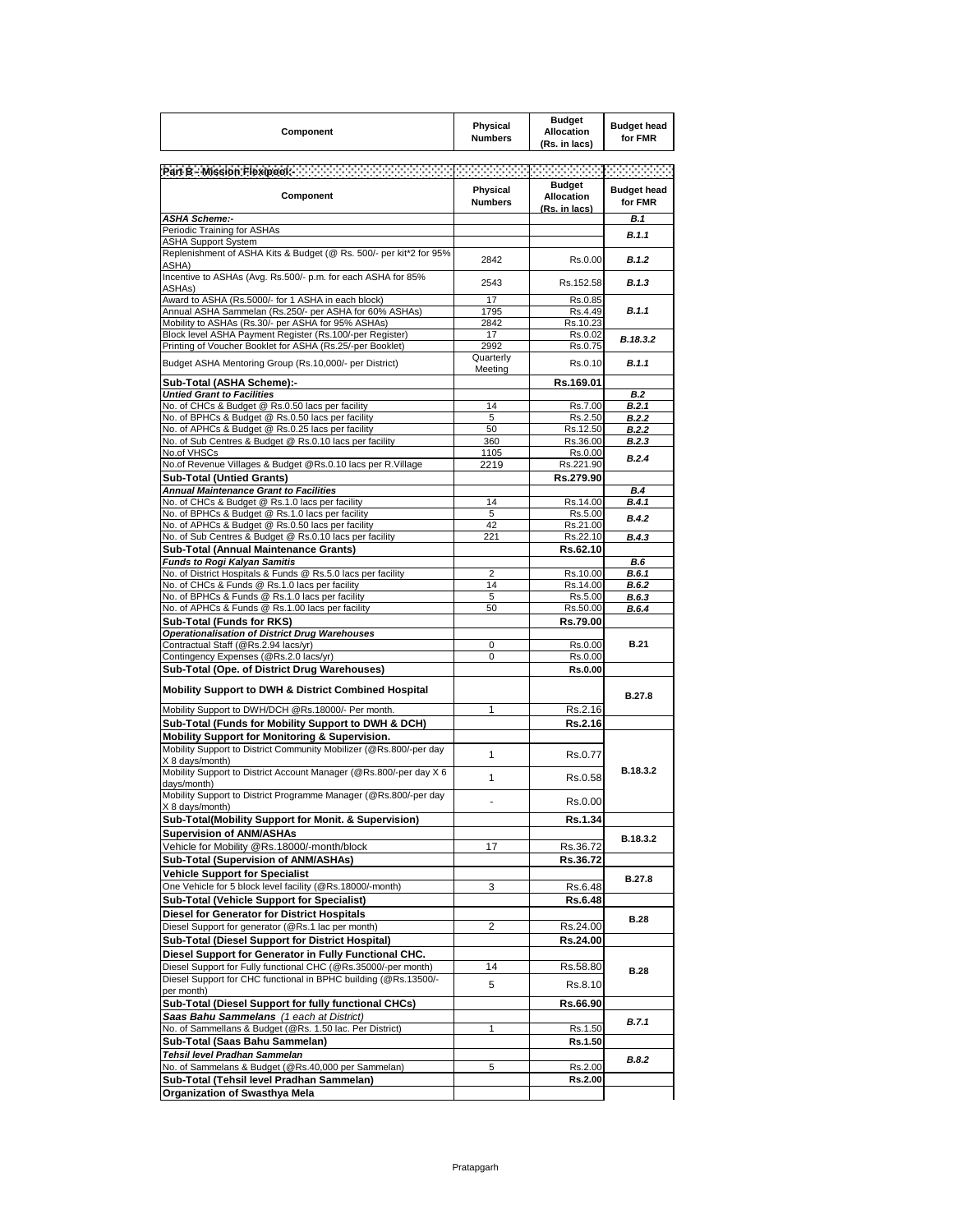| Component                                                                                                            | Physical<br><b>Numbers</b> | <b>Budget</b><br>Allocation<br>(Rs. in lacs)        | <b>Budget head</b><br>for FMR |
|----------------------------------------------------------------------------------------------------------------------|----------------------------|-----------------------------------------------------|-------------------------------|
|                                                                                                                      |                            |                                                     |                               |
| Component                                                                                                            | Physical<br><b>Numbers</b> | <b>Budget</b><br><b>Allocation</b><br>(Rs. in lacs) | <b>Budget head</b><br>for FMR |
| <b>ASHA Scheme:-</b><br>Periodic Training for ASHAs                                                                  |                            |                                                     | B.1                           |
| <b>ASHA Support System</b>                                                                                           |                            |                                                     | B.1.1                         |
| Replenishment of ASHA Kits & Budget (@ Rs. 500/- per kit*2 for 95%<br>ASHA)                                          | 2842                       | Rs.0.00                                             | <b>B.1.2</b>                  |
| Incentive to ASHAs (Avg. Rs.500/- p.m. for each ASHA for 85%<br>ASHAs)                                               | 2543                       | Rs.152.58                                           | <b>B.1.3</b>                  |
| Award to ASHA (Rs.5000/- for 1 ASHA in each block)                                                                   | 17                         | Rs.0.85                                             |                               |
| Annual ASHA Sammelan (Rs.250/- per ASHA for 60% ASHAs)<br>Mobility to ASHAs (Rs.30/- per ASHA for 95% ASHAs)         | 1795<br>2842               | Rs.4.49<br>Rs.10.23                                 | <b>B.1.1</b>                  |
| Block level ASHA Payment Register (Rs.100/-per Register)                                                             | 17                         | Rs.0.02                                             |                               |
| Printing of Voucher Booklet for ASHA (Rs.25/-per Booklet)                                                            | 2992                       | Rs.0.75                                             | B.18.3.2                      |
| Budget ASHA Mentoring Group (Rs.10,000/- per District)                                                               | Quarterly<br>Meeting       | Rs.0.10                                             | B.1.1                         |
| Sub-Total (ASHA Scheme):-                                                                                            |                            | Rs.169.01                                           |                               |
| <b>Untied Grant to Facilities</b>                                                                                    |                            |                                                     | B.2                           |
| No. of CHCs & Budget @ Rs.0.50 lacs per facility                                                                     | 14                         | Rs.7.00                                             | B.2.1                         |
| No. of BPHCs & Budget @ Rs.0.50 lacs per facility<br>No. of APHCs & Budget @ Rs.0.25 lacs per facility               | 5<br>50                    | Rs.2.50<br>Rs.12.50                                 | B.2.2<br>B.2.2                |
| No. of Sub Centres & Budget @ Rs.0.10 lacs per facility                                                              | 360                        | Rs.36.00                                            | B.2.3                         |
| No.of VHSCs                                                                                                          | 1105                       | Rs.0.00                                             | B.2.4                         |
| No.of Revenue Villages & Budget @Rs.0.10 lacs per R.Village                                                          | 2219                       | Rs.221.90                                           |                               |
| <b>Sub-Total (Untied Grants)</b>                                                                                     |                            | Rs.279.90                                           |                               |
| Annual Maintenance Grant to Facilities                                                                               |                            |                                                     | <b>B.4</b>                    |
| No. of CHCs & Budget @ Rs.1.0 lacs per facility                                                                      | 14                         | Rs.14.00                                            | B.4.1                         |
| No. of BPHCs & Budget @ Rs.1.0 lacs per facility<br>No. of APHCs & Budget @ Rs.0.50 lacs per facility                | 5<br>42                    | Rs.5.00<br>Rs.21.00                                 | <b>B.4.2</b>                  |
| No. of Sub Centres & Budget @ Rs.0.10 lacs per facility                                                              | 221                        | Rs.22.10                                            | <b>B.4.3</b>                  |
| Sub-Total (Annual Maintenance Grants)                                                                                |                            | Rs.62.10                                            |                               |
| <b>Funds to Rogi Kalvan Samitis</b>                                                                                  |                            |                                                     | <b>B.6</b>                    |
| No. of District Hospitals & Funds @ Rs.5.0 lacs per facility                                                         | $\overline{2}$             | Rs.10.00                                            | B.6.1                         |
| No. of CHCs & Funds @ Rs.1.0 lacs per facility                                                                       | 14                         | Rs.14.00                                            | B.6.2                         |
| No. of BPHCs & Funds @ Rs.1.0 lacs per facility<br>No. of APHCs & Funds @ Rs.1.00 lacs per facility                  | 5<br>50                    | Rs.5.00<br>Rs.50.00                                 | B.6.3<br>B.6.4                |
| Sub-Total (Funds for RKS)                                                                                            |                            | Rs.79.00                                            |                               |
| <b>Operationalisation of District Drug Warehouses</b>                                                                |                            |                                                     |                               |
| Contractual Staff (@Rs.2.94 lacs/yr)                                                                                 | 0                          | Rs.0.00                                             | <b>B.21</b>                   |
| Contingency Expenses (@Rs.2.0 lacs/yr)                                                                               | 0                          | Rs.0.00                                             |                               |
| Sub-Total (Ope. of District Drug Warehouses)                                                                         |                            | <b>Rs.0.00</b>                                      |                               |
| <b>Mobility Support to DWH &amp; District Combined Hospital</b>                                                      |                            |                                                     | B.27.8                        |
| Mobility Support to DWH/DCH @Rs.18000/- Per month.                                                                   | 1                          | Rs.2.16                                             |                               |
| Sub-Total (Funds for Mobility Support to DWH & DCH)                                                                  |                            | Rs.2.16                                             |                               |
| Mobility Support for Monitoring & Supervision.<br>Mobility Support to District Community Mobilizer (@Rs.800/-per day |                            |                                                     |                               |
| X 8 days/month)<br>Mobility Support to District Account Manager (@Rs.800/-per day X 6                                | $\mathbf{1}$               | Rs.0.77                                             | B.18.3.2                      |
| davs/month)<br>Mobility Support to District Programme Manager (@Rs.800/-per day                                      | 1                          | Rs.0.58                                             |                               |
| X 8 days/month)<br>Sub-Total(Mobility Support for Monit. & Supervision)                                              |                            | Rs.0.00                                             |                               |
| <b>Supervision of ANM/ASHAs</b>                                                                                      |                            | Rs.1.34                                             |                               |
| Vehicle for Mobility @Rs.18000/-month/block                                                                          | 17                         | Rs.36.72                                            | B.18.3.2                      |
| Sub-Total (Supervision of ANM/ASHAs)                                                                                 |                            | Rs.36.72                                            |                               |
| <b>Vehicle Support for Specialist</b>                                                                                |                            |                                                     |                               |
| One Vehicle for 5 block level facility (@Rs.18000/-month)                                                            | 3                          | Rs.6.48                                             | B.27.8                        |
| Sub-Total (Vehicle Support for Specialist)                                                                           |                            | Rs.6.48                                             |                               |
| Diesel for Generator for District Hospitals                                                                          |                            |                                                     |                               |
| Diesel Support for generator (@Rs.1 lac per month)                                                                   | 2                          | Rs.24.00                                            | <b>B.28</b>                   |
| Sub-Total (Diesel Support for District Hospital)                                                                     |                            | <b>Rs.24.00</b>                                     |                               |
| Diesel Support for Generator in Fully Functional CHC.                                                                |                            |                                                     |                               |
| Diesel Support for Fully functional CHC (@Rs.35000/-per month)                                                       | 14                         | Rs.58.80                                            | <b>B.28</b>                   |
| Diesel Support for CHC functional in BPHC building (@Rs.13500/-                                                      | 5                          | Rs.8.10                                             |                               |
| per month)                                                                                                           |                            |                                                     |                               |
| Sub-Total (Diesel Support for fully functional CHCs)                                                                 |                            | Rs.66.90                                            |                               |
| Saas Bahu Sammelans (1 each at District)<br>No. of Sammellans & Budget (@Rs. 1.50 lac. Per District)                 | 1                          | Rs.1.50                                             | <b>B.7.1</b>                  |
|                                                                                                                      |                            | Rs.1.50                                             |                               |
|                                                                                                                      |                            |                                                     |                               |
| Sub-Total (Saas Bahu Sammelan)                                                                                       |                            |                                                     |                               |
| Tehsil level Pradhan Sammelan<br>No. of Sammelans & Budget (@Rs.40,000 per Sammelan)                                 | 5                          | Rs.2.00                                             | <b>B.8.2</b>                  |
| Sub-Total (Tehsil level Pradhan Sammelan)                                                                            |                            | <b>Rs.2.00</b>                                      |                               |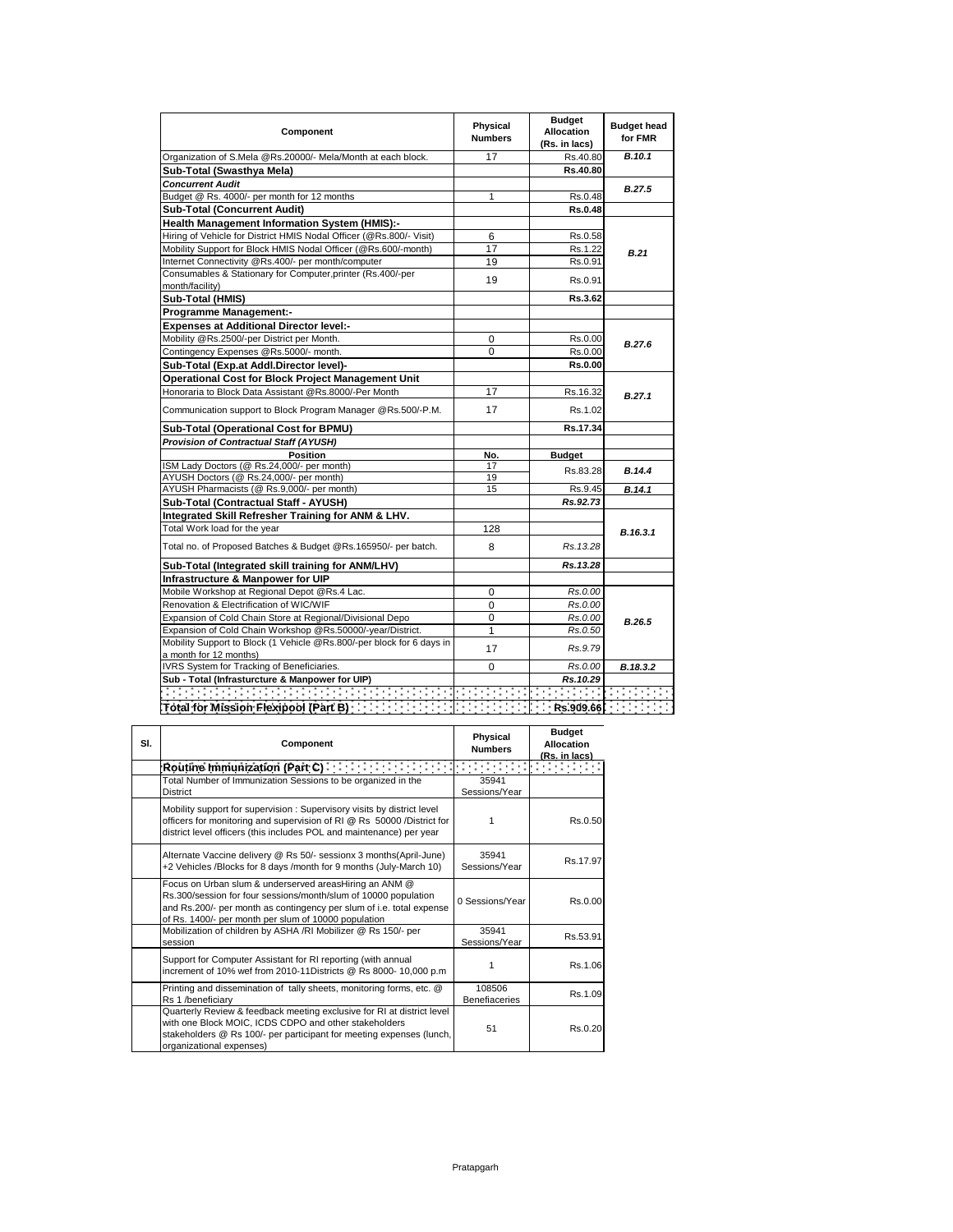| Component                                                                                       | Physical<br><b>Numbers</b> | <b>Budget</b><br><b>Allocation</b><br>(Rs. in lacs) | <b>Budget head</b><br>for FMR |
|-------------------------------------------------------------------------------------------------|----------------------------|-----------------------------------------------------|-------------------------------|
| Organization of S.Mela @Rs.20000/- Mela/Month at each block.                                    | 17                         | Rs.40.80                                            | <b>B.10.1</b>                 |
| Sub-Total (Swasthya Mela)                                                                       |                            | Rs.40.80                                            |                               |
| <b>Concurrent Audit</b>                                                                         |                            |                                                     | <b>B.27.5</b>                 |
| Budget @ Rs. 4000/- per month for 12 months                                                     | 1                          | Rs.0.48                                             |                               |
| <b>Sub-Total (Concurrent Audit)</b>                                                             |                            | Rs.0.48                                             |                               |
| Health Management Information System (HMIS):-                                                   |                            |                                                     |                               |
| Hiring of Vehicle for District HMIS Nodal Officer (@Rs.800/- Visit)                             | 6                          | Rs.0.58                                             |                               |
| Mobility Support for Block HMIS Nodal Officer (@Rs.600/-month)                                  | 17                         | Rs.1.22                                             | <b>B.21</b>                   |
| Internet Connectivity @Rs.400/- per month/computer                                              | 19                         | Rs.0.91                                             |                               |
| Consumables & Stationary for Computer, printer (Rs.400/-per                                     | 19                         | Rs.0.91                                             |                               |
| month/facility)                                                                                 |                            |                                                     |                               |
| Sub-Total (HMIS)                                                                                |                            | Rs.3.62                                             |                               |
| <b>Programme Management:-</b>                                                                   |                            |                                                     |                               |
| <b>Expenses at Additional Director level:-</b>                                                  |                            |                                                     |                               |
| Mobility @Rs.2500/-per District per Month.                                                      | 0                          | Rs.0.00                                             | B.27.6                        |
| Contingency Expenses @Rs.5000/- month.                                                          | $\Omega$                   | Rs.0.00                                             |                               |
| Sub-Total (Exp.at Addl.Director level)-                                                         |                            | Rs.0.00                                             |                               |
| <b>Operational Cost for Block Project Management Unit</b>                                       |                            |                                                     |                               |
| Honoraria to Block Data Assistant @Rs.8000/-Per Month                                           | 17                         | Rs.16.32                                            | <b>B.27.1</b>                 |
| Communication support to Block Program Manager @Rs.500/-P.M.                                    | 17                         | Rs.1.02                                             |                               |
| Sub-Total (Operational Cost for BPMU)                                                           |                            | Rs.17.34                                            |                               |
| <b>Provision of Contractual Staff (AYUSH)</b>                                                   |                            |                                                     |                               |
| <b>Position</b>                                                                                 | No.                        | <b>Budget</b>                                       |                               |
| ISM Lady Doctors (@ Rs.24,000/- per month)                                                      | 17                         | Rs.83.28                                            | B.14.4                        |
| AYUSH Doctors (@ Rs.24,000/- per month)                                                         | 19                         |                                                     |                               |
| AYUSH Pharmacists (@ Rs.9,000/- per month)                                                      | 15                         | Rs.9.45                                             | B.14.1                        |
| Sub-Total (Contractual Staff - AYUSH)                                                           |                            | Rs.92.73                                            |                               |
| Integrated Skill Refresher Training for ANM & LHV.                                              |                            |                                                     |                               |
| Total Work load for the year                                                                    | 128                        |                                                     | B.16.3.1                      |
| Total no. of Proposed Batches & Budget @Rs.165950/- per batch.                                  | 8                          | Rs. 13.28                                           |                               |
| Sub-Total (Integrated skill training for ANM/LHV)                                               |                            | Rs.13.28                                            |                               |
| Infrastructure & Manpower for UIP                                                               |                            |                                                     |                               |
| Mobile Workshop at Regional Depot @Rs.4 Lac.                                                    | 0                          | Rs.0.00                                             |                               |
| Renovation & Electrification of WIC/WIF                                                         | 0                          | Rs.0.00                                             |                               |
| Expansion of Cold Chain Store at Regional/Divisional Depo                                       | $\Omega$                   | Rs.0.00                                             | B.26.5                        |
| Expansion of Cold Chain Workshop @Rs.50000/-year/District.                                      | $\mathbf{1}$               | Rs.0.50                                             |                               |
| Mobility Support to Block (1 Vehicle @Rs.800/-per block for 6 days in<br>a month for 12 months) | 17                         | Rs.9.79                                             |                               |
| IVRS System for Tracking of Beneficiaries.                                                      | $\Omega$                   | Rs.0.00                                             | B.18.3.2                      |
| Sub - Total (Infrasturcture & Manpower for UIP)                                                 |                            | Rs.10.29                                            |                               |
|                                                                                                 |                            |                                                     |                               |
|                                                                                                 |                            |                                                     |                               |

| SI. | Component                                                                                                                                                                                                                                                 | Physical<br><b>Numbers</b>     | <b>Budget</b><br><b>Allocation</b><br>(Rs. in lacs) |
|-----|-----------------------------------------------------------------------------------------------------------------------------------------------------------------------------------------------------------------------------------------------------------|--------------------------------|-----------------------------------------------------|
|     | Routine Immunization (Part C)                                                                                                                                                                                                                             |                                | Francesco                                           |
|     | Total Number of Immunization Sessions to be organized in the<br><b>District</b>                                                                                                                                                                           | 35941<br>Sessions/Year         |                                                     |
|     | Mobility support for supervision: Supervisory visits by district level<br>officers for monitoring and supervision of RI @ Rs 50000 /District for<br>district level officers (this includes POL and maintenance) per year                                  |                                | Rs.0.50                                             |
|     | Alternate Vaccine delivery @ Rs 50/- sessionx 3 months(April-June)<br>+2 Vehicles /Blocks for 8 days /month for 9 months (July-March 10)                                                                                                                  | 35941<br>Sessions/Year         | Rs.17.97                                            |
|     | Focus on Urban slum & underserved areasHiring an ANM @<br>Rs.300/session for four sessions/month/slum of 10000 population<br>and Rs.200/- per month as contingency per slum of i.e. total expense<br>of Rs. 1400/- per month per slum of 10000 population | 0 Sessions/Year                | Rs.0.00                                             |
|     | Mobilization of children by ASHA /RI Mobilizer @ Rs 150/- per<br>session                                                                                                                                                                                  | 35941<br>Sessions/Year         | Rs.53.91                                            |
|     | Support for Computer Assistant for RI reporting (with annual<br>increment of 10% wef from 2010-11Districts @ Rs 8000-10,000 p.m                                                                                                                           |                                | Rs.1.06                                             |
|     | Printing and dissemination of tally sheets, monitoring forms, etc. @<br>Rs 1 /beneficiarv                                                                                                                                                                 | 108506<br><b>Benefiaceries</b> | Rs.1.09                                             |
|     | Quarterly Review & feedback meeting exclusive for RI at district level<br>with one Block MOIC, ICDS CDPO and other stakeholders<br>stakeholders @ Rs 100/- per participant for meeting expenses (lunch,<br>organizational expenses)                       | 51                             | Rs.0.20                                             |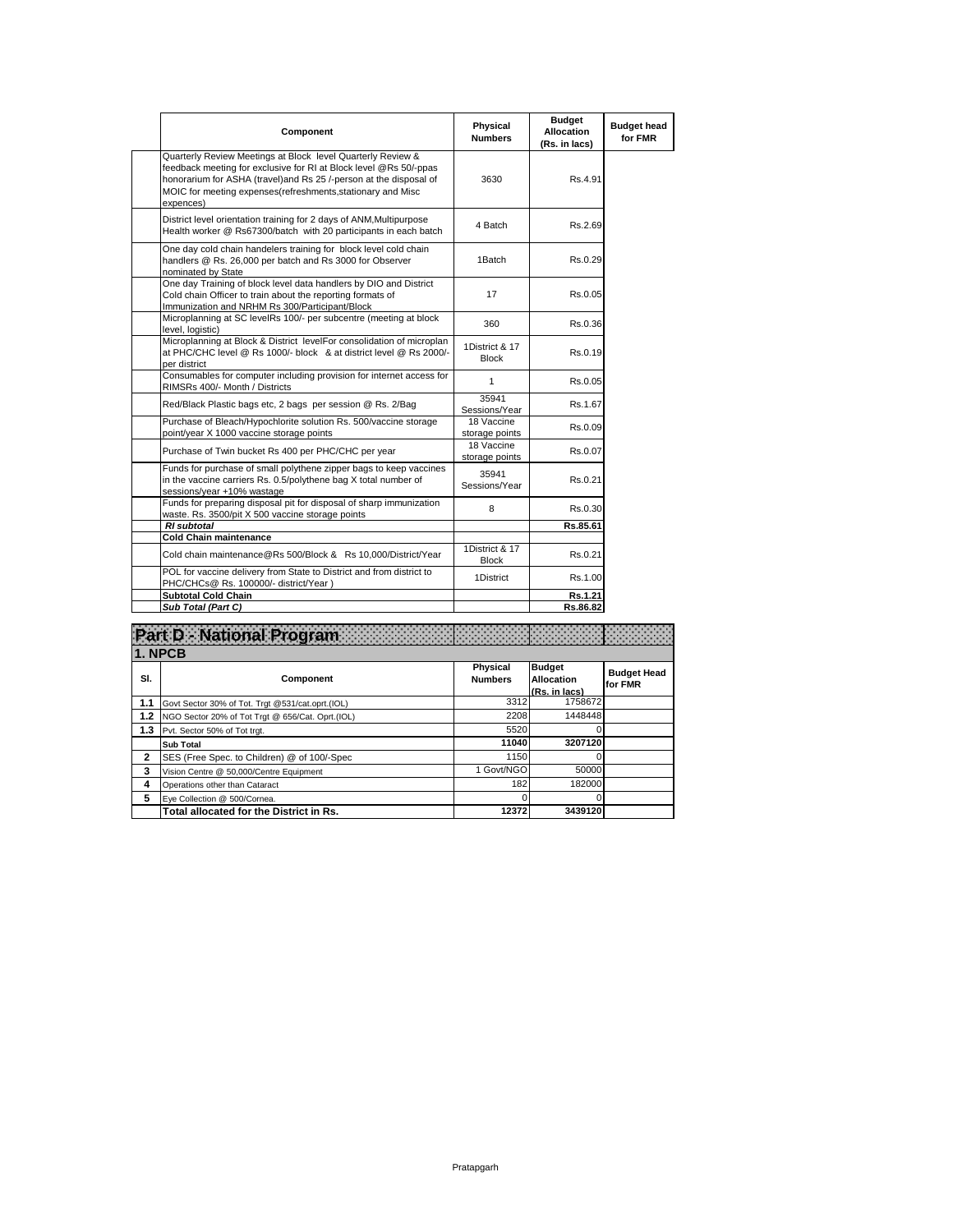| Component                                                                                                                                                                                                                                                                           | Physical<br><b>Numbers</b>     | <b>Budget</b><br><b>Allocation</b><br>(Rs. in lacs) | <b>Budget head</b><br>for FMR |
|-------------------------------------------------------------------------------------------------------------------------------------------------------------------------------------------------------------------------------------------------------------------------------------|--------------------------------|-----------------------------------------------------|-------------------------------|
| Quarterly Review Meetings at Block level Quarterly Review &<br>feedback meeting for exclusive for RI at Block level @Rs 50/-ppas<br>honorarium for ASHA (travel) and Rs 25 /-person at the disposal of<br>MOIC for meeting expenses (refreshments, stationary and Misc<br>expences) | 3630                           | Rs.4.91                                             |                               |
| District level orientation training for 2 days of ANM, Multipurpose<br>Health worker @ Rs67300/batch with 20 participants in each batch                                                                                                                                             | 4 Batch                        | Rs.2.69                                             |                               |
| One day cold chain handelers training for block level cold chain<br>handlers @ Rs. 26,000 per batch and Rs 3000 for Observer<br>nominated by State                                                                                                                                  | 1Batch                         | Rs.0.29                                             |                               |
| One day Training of block level data handlers by DIO and District<br>Cold chain Officer to train about the reporting formats of<br>Immunization and NRHM Rs 300/Participant/Block                                                                                                   | 17                             | Rs.0.05                                             |                               |
| Microplanning at SC levelRs 100/- per subcentre (meeting at block<br>level. logistic)                                                                                                                                                                                               | 360                            | Rs.0.36                                             |                               |
| Microplanning at Block & District levelFor consolidation of microplan<br>at PHC/CHC level @ Rs 1000/- block & at district level @ Rs 2000/-<br>per district                                                                                                                         | 1District & 17<br><b>Block</b> | Rs.0.19                                             |                               |
| Consumables for computer including provision for internet access for<br>RIMSRs 400/- Month / Districts                                                                                                                                                                              | 1                              | Rs.0.05                                             |                               |
| Red/Black Plastic bags etc, 2 bags per session @ Rs. 2/Bag                                                                                                                                                                                                                          | 35941<br>Sessions/Year         | Rs.1.67                                             |                               |
| Purchase of Bleach/Hypochlorite solution Rs. 500/vaccine storage<br>point/year X 1000 vaccine storage points                                                                                                                                                                        | 18 Vaccine<br>storage points   | Rs.0.09                                             |                               |
| Purchase of Twin bucket Rs 400 per PHC/CHC per year                                                                                                                                                                                                                                 | 18 Vaccine<br>storage points   | Rs.0.07                                             |                               |
| Funds for purchase of small polythene zipper bags to keep vaccines<br>in the vaccine carriers Rs. 0.5/polythene bag X total number of<br>sessions/year +10% wastage                                                                                                                 | 35941<br>Sessions/Year         | Rs.0.21                                             |                               |
| Funds for preparing disposal pit for disposal of sharp immunization<br>waste. Rs. 3500/pit X 500 vaccine storage points                                                                                                                                                             | 8                              | Rs.0.30                                             |                               |
| <b>RI</b> subtotal                                                                                                                                                                                                                                                                  |                                | Rs.85.61                                            |                               |
| <b>Cold Chain maintenance</b>                                                                                                                                                                                                                                                       |                                |                                                     |                               |
| Cold chain maintenance@Rs 500/Block & Rs 10,000/District/Year                                                                                                                                                                                                                       | 1District & 17<br><b>Block</b> | Rs.0.21                                             |                               |
| POL for vaccine delivery from State to District and from district to<br>PHC/CHCs@ Rs. 100000/- district/Year)                                                                                                                                                                       | 1District                      | Rs.1.00                                             |                               |
| <b>Subtotal Cold Chain</b>                                                                                                                                                                                                                                                          |                                | Rs.1.21                                             |                               |
| Sub Total (Part C)                                                                                                                                                                                                                                                                  |                                | Rs.86.82                                            |                               |

|     | t D - National Program                           |                                   |                                              |                               |  |  |
|-----|--------------------------------------------------|-----------------------------------|----------------------------------------------|-------------------------------|--|--|
|     | 1. NPCB                                          |                                   |                                              |                               |  |  |
| SI. | Component                                        | <b>Physical</b><br><b>Numbers</b> | <b>Budget</b><br>Allocation<br>(Rs. in lacs) | <b>Budget Head</b><br>for FMR |  |  |
| 1.1 | Govt Sector 30% of Tot. Trgt @531/cat.oprt.(IOL) | 3312                              | 1758672                                      |                               |  |  |
| 1.2 | NGO Sector 20% of Tot Trgt @ 656/Cat. Oprt.(IOL) | 2208                              | 1448448                                      |                               |  |  |
| 1.3 | Pvt. Sector 50% of Tot trgt.                     | 5520                              |                                              |                               |  |  |
|     | <b>Sub Total</b>                                 | 11040                             | 3207120                                      |                               |  |  |
| 2   | SES (Free Spec. to Children) @ of 100/-Spec      | 1150                              | 0                                            |                               |  |  |
| 3   | Vision Centre @ 50.000/Centre Equipment          | 1 Govt/NGO                        | 50000                                        |                               |  |  |
| 4   | Operations other than Cataract                   | 182                               | 182000                                       |                               |  |  |
| 5   | Eye Collection @ 500/Cornea.                     |                                   | 0                                            |                               |  |  |
|     | Total allocated for the District in Rs.          | 12372                             | 3439120                                      |                               |  |  |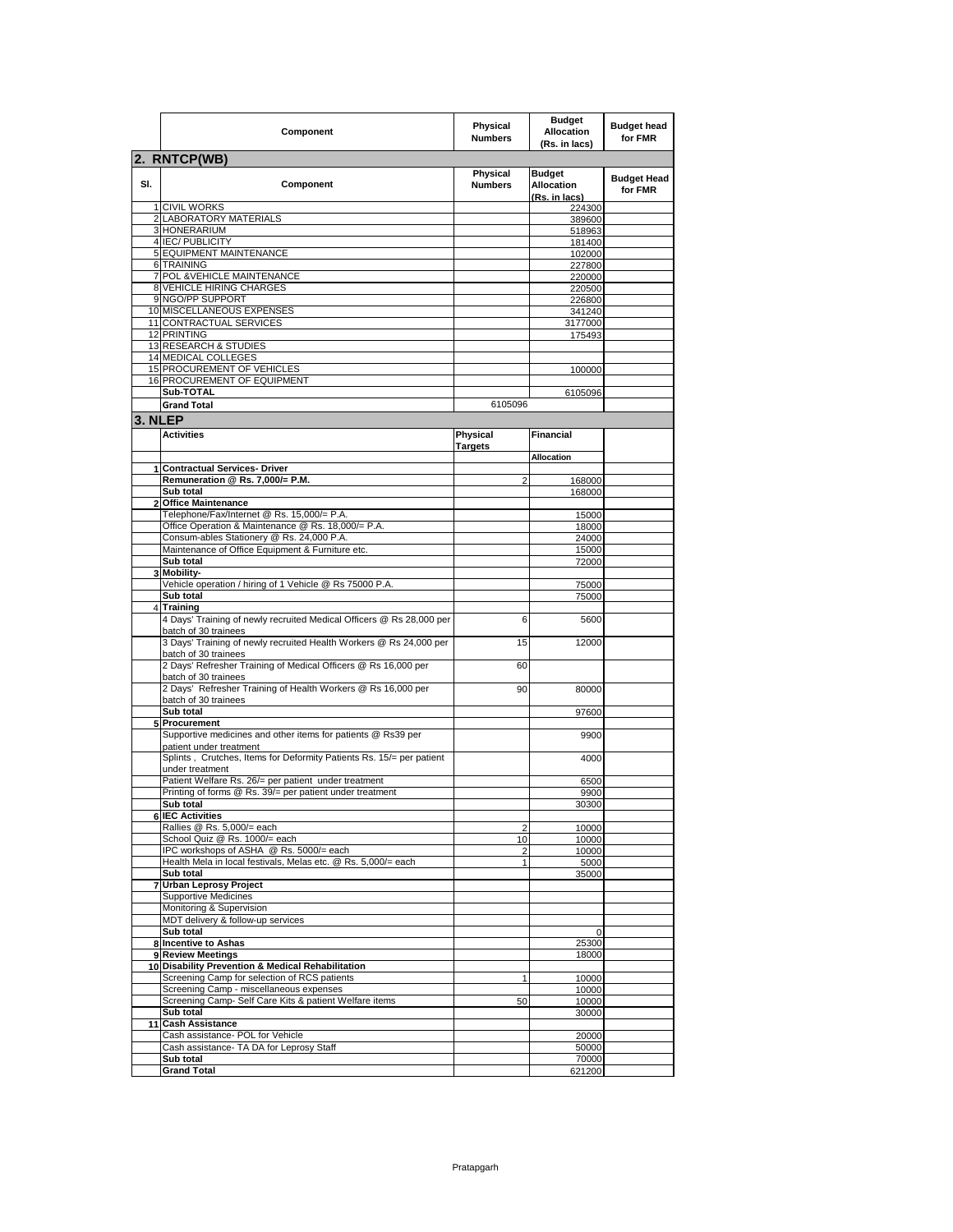|         | Component                                                                                         | Physical<br><b>Numbers</b> | <b>Budget</b><br><b>Allocation</b><br>(Rs. in lacs) | <b>Budget head</b><br>for FMR |
|---------|---------------------------------------------------------------------------------------------------|----------------------------|-----------------------------------------------------|-------------------------------|
|         | 2. RNTCP(WB)                                                                                      |                            |                                                     |                               |
| SI.     | Component                                                                                         | Physical<br><b>Numbers</b> | <b>Budget</b><br><b>Allocation</b><br>(Rs. in lacs) | <b>Budget Head</b><br>for FMR |
|         | 1 CIVIL WORKS                                                                                     |                            | 224300                                              |                               |
|         | 2 LABORATORY MATERIALS                                                                            |                            | 389600                                              |                               |
|         | 3 HONERARIUM                                                                                      |                            | 518963                                              |                               |
|         | 4 IEC/ PUBLICITY                                                                                  |                            | 181400                                              |                               |
|         | 5 EQUIPMENT MAINTENANCE                                                                           |                            | 102000                                              |                               |
|         | 6 TRAINING                                                                                        |                            | 227800                                              |                               |
|         | 7 POL & VEHICLE MAINTENANCE<br><b>8 VEHICLE HIRING CHARGES</b>                                    |                            | 220000                                              |                               |
|         | 9 NGO/PP SUPPORT                                                                                  |                            | 220500                                              |                               |
|         | 10 MISCELLANEOUS EXPENSES                                                                         |                            | 226800<br>341240                                    |                               |
|         | 11 CONTRACTUAL SERVICES                                                                           |                            | 3177000                                             |                               |
|         | 12 PRINTING                                                                                       |                            | 175493                                              |                               |
|         | 13 RESEARCH & STUDIES                                                                             |                            |                                                     |                               |
|         | 14 MEDICAL COLLEGES                                                                               |                            |                                                     |                               |
|         | 15 PROCUREMENT OF VEHICLES                                                                        |                            | 100000                                              |                               |
|         | 16 PROCUREMENT OF EQUIPMENT                                                                       |                            |                                                     |                               |
|         | Sub-TOTAL                                                                                         |                            | 6105096                                             |                               |
|         | <b>Grand Total</b>                                                                                | 6105096                    |                                                     |                               |
|         |                                                                                                   |                            |                                                     |                               |
| 3. NLEP |                                                                                                   |                            |                                                     |                               |
|         | <b>Activities</b>                                                                                 | Physical<br><b>Targets</b> | <b>Financial</b><br><b>Allocation</b>               |                               |
|         | 1 Contractual Services- Driver                                                                    |                            |                                                     |                               |
|         | Remuneration @ Rs. 7.000/= P.M.                                                                   | $\overline{2}$             | 168000                                              |                               |
|         | Sub total                                                                                         |                            | 168000                                              |                               |
|         | 2 Office Maintenance                                                                              |                            |                                                     |                               |
|         | Telephone/Fax/Internet @ Rs. 15,000/= P.A.                                                        |                            | 15000                                               |                               |
|         | Office Operation & Maintenance @ Rs. 18,000/= P.A.                                                |                            | 18000                                               |                               |
|         | Consum-ables Stationery @ Rs. 24,000 P.A.                                                         |                            | 24000                                               |                               |
|         | Maintenance of Office Equipment & Furniture etc.                                                  |                            | 15000                                               |                               |
|         | Sub total                                                                                         |                            | 72000                                               |                               |
|         | 3 Mobility-                                                                                       |                            |                                                     |                               |
|         | Vehicle operation / hiring of 1 Vehicle @ Rs 75000 P.A.                                           |                            | 75000                                               |                               |
|         | Sub total                                                                                         |                            | 75000                                               |                               |
|         | <b>Training</b>                                                                                   |                            |                                                     |                               |
|         | 4 Days' Training of newly recruited Medical Officers @ Rs 28,000 per<br>batch of 30 trainees      | 6                          | 5600                                                |                               |
|         | 3 Days' Training of newly recruited Health Workers @ Rs 24,000 per<br>batch of 30 trainees        | 15                         | 12000                                               |                               |
|         | 2 Days' Refresher Training of Medical Officers @ Rs 16,000 per<br>batch of 30 trainees            | 60                         |                                                     |                               |
|         | 2 Days' Refresher Training of Health Workers @ Rs 16,000 per<br>batch of 30 trainees<br>Sub total | 90                         | 80000                                               |                               |
|         | 5 Procurement                                                                                     |                            | 97600                                               |                               |
|         | Supportive medicines and other items for patients @ Rs39 per<br>patient under treatment           |                            | 9900                                                |                               |
|         | Splints, Crutches, Items for Deformity Patients Rs. 15/= per patient<br>under treatment           |                            | 4000                                                |                               |
|         | Patient Welfare Rs. 26/= per patient under treatment                                              |                            | 6500                                                |                               |
|         | Printing of forms @ Rs. 39/= per patient under treatment                                          |                            | 9900                                                |                               |
|         | Sub total                                                                                         |                            | 30300                                               |                               |
|         | <b>6 IEC Activities</b>                                                                           |                            |                                                     |                               |
|         | Rallies @ Rs. 5,000/= each                                                                        | 2                          | 10000                                               |                               |
|         | School Quiz @ Rs. 1000/= each                                                                     | 10                         | 10000                                               |                               |
|         | IPC workshops of ASHA @ Rs. 5000/= each                                                           | 2                          | 10000                                               |                               |
|         | Health Mela in local festivals, Melas etc. @ Rs. 5,000/= each                                     | $\mathbf{1}$               | 5000                                                |                               |
|         | Sub total<br><b>Urban Leprosy Project</b>                                                         |                            | 35000                                               |                               |
|         | <b>Supportive Medicines</b>                                                                       |                            |                                                     |                               |
|         | Monitoring & Supervision                                                                          |                            |                                                     |                               |
|         | MDT delivery & follow-up services                                                                 |                            |                                                     |                               |
|         | Sub total                                                                                         |                            | 0                                                   |                               |
|         | 8 Incentive to Ashas                                                                              |                            | 25300                                               |                               |
|         | 9 Review Meetings                                                                                 |                            | 18000                                               |                               |
|         | 10 Disability Prevention & Medical Rehabilitation                                                 |                            |                                                     |                               |
|         | Screening Camp for selection of RCS patients                                                      | 1                          | 10000                                               |                               |
|         | Screening Camp - miscellaneous expenses                                                           |                            | 10000                                               |                               |
|         | Screening Camp- Self Care Kits & patient Welfare items                                            | 50                         | 10000                                               |                               |
|         | Sub total                                                                                         |                            | 30000                                               |                               |
|         | 11 Cash Assistance                                                                                |                            |                                                     |                               |
|         | Cash assistance- POL for Vehicle                                                                  |                            | 20000                                               |                               |
|         | Cash assistance- TA DA for Leprosy Staff                                                          |                            | 50000                                               |                               |
|         | Sub total                                                                                         |                            | 70000                                               |                               |
|         | <b>Grand Total</b>                                                                                |                            | 621200                                              |                               |